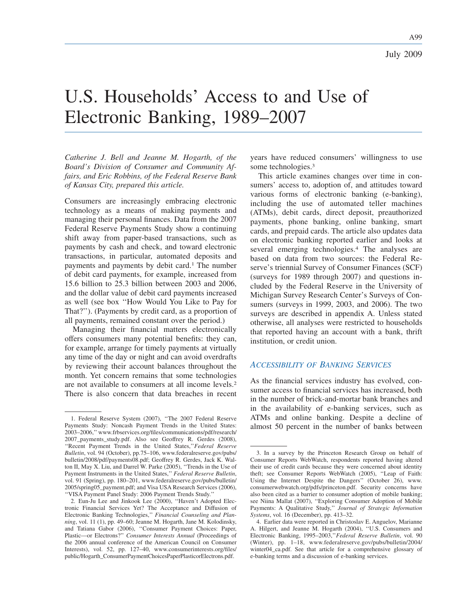# U.S. Households' Access to and Use of Electronic Banking, 1989–2007

*Catherine J. Bell and Jeanne M. Hogarth, of the Board's Division of Consumer and Community Affairs, and Eric Robbins, of the Federal Reserve Bank of Kansas City, prepared this article.*

Consumers are increasingly embracing electronic technology as a means of making payments and managing their personal finances. Data from the 2007 Federal Reserve Payments Study show a continuing shift away from paper-based transactions, such as payments by cash and check, and toward electronic transactions, in particular, automated deposits and payments and payments by debit card.<sup>1</sup> The number of debit card payments, for example, increased from 15.6 billion to 25.3 billion between 2003 and 2006, and the dollar value of debit card payments increased as well (see box ''How Would You Like to Pay for That?''). (Payments by credit card, as a proportion of all payments, remained constant over the period.)

Managing their financial matters electronically offers consumers many potential benefits: they can, for example, arrange for timely payments at virtually any time of the day or night and can avoid overdrafts by reviewing their account balances throughout the month. Yet concern remains that some technologies are not available to consumers at all income levels.<sup>2</sup> There is also concern that data breaches in recent years have reduced consumers' willingness to use some technologies.<sup>3</sup>

This article examines changes over time in consumers' access to, adoption of, and attitudes toward various forms of electronic banking (e-banking), including the use of automated teller machines (ATMs), debit cards, direct deposit, preauthorized payments, phone banking, online banking, smart cards, and prepaid cards. The article also updates data on electronic banking reported earlier and looks at several emerging technologies.<sup>4</sup> The analyses are based on data from two sources: the Federal Reserve's triennial Survey of Consumer Finances (SCF) (surveys for 1989 through 2007) and questions included by the Federal Reserve in the University of Michigan Survey Research Center's Surveys of Consumers (surveys in 1999, 2003, and 2006). The two surveys are described in appendix A. Unless stated otherwise, all analyses were restricted to households that reported having an account with a bank, thrift institution, or credit union.

# *ACCESSIBILITY OF BANKING SERVICES*

As the financial services industry has evolved, consumer access to financial services has increased, both in the number of brick-and-mortar bank branches and in the availability of e-banking services, such as ATMs and online banking. Despite a decline of almost 50 percent in the number of banks between

<sup>1.</sup> Federal Reserve System (2007), ''The 2007 Federal Reserve Payments Study: Noncash Payment Trends in the United States: 2003–2006,'' www.frbservices.org/files/communications/pdf/research/ 2007\_payments\_study.pdf. Also see Geoffrey R. Gerdes (2008), ''Recent Payment Trends in the United States,''*Federal Reserve Bulletin*, vol. 94 (October), pp.75–106, www.federalreserve.gov/pubs/ bulletin/2008/pdf/payments08.pdf; Geoffrey R. Gerdes, Jack K. Walton II, May X. Liu, and Darrel W. Parke (2005), ''Trends in the Use of Payment Instruments in the United States,'' *Federal Reserve Bulletin*, vol. 91 (Spring), pp. 180–201, www.federalreserve.gov/pubs/bulletin/ 2005/spring05\_payment.pdf; and Visa USA Research Services (2006), ''VISA Payment Panel Study: 2006 Payment Trends Study.''

<sup>2.</sup> Eun-Ju Lee and Jinkook Lee (2000), ''Haven't Adopted Electronic Financial Services Yet? The Acceptance and Diffusion of Electronic Banking Technologies,'' *Financial Counseling and Planning*, vol. 11 (1), pp. 49–60; Jeanne M. Hogarth, Jane M. Kolodinsky, and Tatiana Gabor (2006), ''Consumer Payment Choices: Paper, Plastic—or Electrons?'' *Consumer Interests Annual* (Proceedings of the 2006 annual conference of the American Council on Consumer Interests), vol. 52, pp. 127–40, www.consumerinterests.org/files/ public/Hogarth\_ConsumerPaymentChoicesPaperPlasticorElectrons.pdf.

<sup>3.</sup> In a survey by the Princeton Research Group on behalf of Consumer Reports WebWatch, respondents reported having altered their use of credit cards because they were concerned about identity theft; see Consumer Reports WebWatch (2005), ''Leap of Faith: Using the Internet Despite the Dangers'' (October 26), www. consumerwebwatch.org/pdfs/princeton.pdf. Security concerns have also been cited as a barrier to consumer adoption of mobile banking; see Niina Mallat (2007), ''Exploring Consumer Adoption of Mobile Payments: A Qualitative Study,'' *Journal of Strategic Information Systems*, vol. 16 (December), pp. 413–32.

<sup>4.</sup> Earlier data were reported in Christoslav E. Anguelov, Marianne A. Hilgert, and Jeanne M. Hogarth (2004), ''U.S. Consumers and Electronic Banking, 1995–2003,''*Federal Reserve Bulletin*, vol. 90 (Winter), pp. 1–18, www.federalreserve.gov/pubs/bulletin/2004/ winter04\_ca.pdf. See that article for a comprehensive glossary of e-banking terms and a discussion of e-banking services.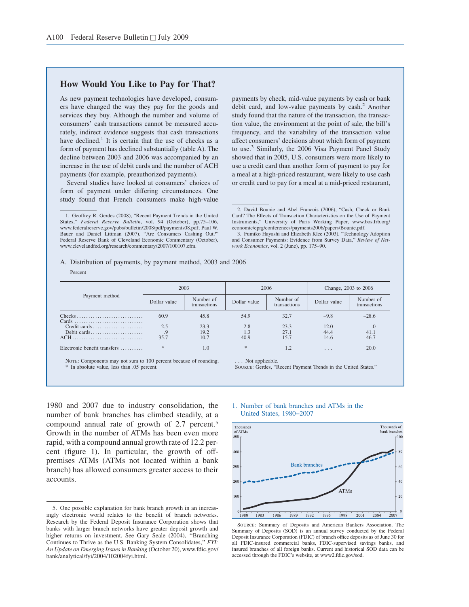# **How Would You Like to Pay for That?**

As new payment technologies have developed, consumers have changed the way they pay for the goods and services they buy. Although the number and volume of consumers' cash transactions cannot be measured accurately, indirect evidence suggests that cash transactions have declined.<sup>1</sup> It is certain that the use of checks as a form of payment has declined substantially (table A). The decline between 2003 and 2006 was accompanied by an increase in the use of debit cards and the number of ACH payments (for example, preauthorized payments).

Several studies have looked at consumers' choices of form of payment under differing circumstances. One study found that French consumers make high-value

Percent

A. Distribution of payments, by payment method, 2003 and 2006

payments by check, mid-value payments by cash or bank debit card, and low-value payments by  $cash<sup>2</sup>$ . Another study found that the nature of the transaction, the transaction value, the environment at the point of sale, the bill's frequency, and the variability of the transaction value affect consumers' decisions about which form of payment to use.<sup>3</sup> Similarly, the 2006 Visa Payment Panel Study showed that in 2005, U.S. consumers were more likely to use a credit card than another form of payment to pay for a meal at a high-priced restaurant, were likely to use cash or credit card to pay for a meal at a mid-priced restaurant,

|                              | 2003         |                           |              | 2006                      | Change, 2003 to 2006    |                           |  |
|------------------------------|--------------|---------------------------|--------------|---------------------------|-------------------------|---------------------------|--|
| Payment method               | Dollar value | Number of<br>transactions | Dollar value | Number of<br>transactions | Dollar value            | Number of<br>transactions |  |
|                              | 60.9         | 45.8                      | 54.9         | 32.7                      | $-9.8$                  | $-28.6$                   |  |
| Credit cards<br>Debit cards  | 2.5<br>.9    | 23.3<br>19.2              | 2.8<br>1.3   | 23.3<br>27.1              | 12.0<br>44.4            | $\overline{0}$<br>41.1    |  |
| ACH                          | 35.7         | 10.7                      | 40.9         | 15.7                      | 14.6                    | 46.7                      |  |
| Electronic benefit transfers | $\ast$       | 1.0                       | $\ast$       | 1.2                       | $\cdot$ $\cdot$ $\cdot$ | 20.0                      |  |

NOTE: Components may not sum to 100 percent because of rounding. In absolute value, less than .05 percent.

.. Not applicable.

Source: Gerdes, "Recent Payment Trends in the United States."

1980 and 2007 due to industry consolidation, the number of bank branches has climbed steadily, at a compound annual rate of growth of 2.7 percent.<sup>5</sup> Growth in the number of ATMs has been even more rapid, with a compound annual growth rate of 12.2 percent (figure 1). In particular, the growth of offpremises ATMs (ATMs not located within a bank branch) has allowed consumers greater access to their accounts.

#### 1. Number of bank branches and ATMs in the United States, 1980−2007



Source: Summary of Deposits and American Bankers Association. The Summary of Deposits (SOD) is an annual survey conducted by the Federal Deposit Insurance Corporation (FDIC) of branch office deposits as of June 30 for all FDIC-insured commercial banks, FDIC-supervised savings banks, and insured branches of all foreign banks. Current and historical SOD data can be accessed through the FDIC's website, at www2.fdic.gov/sod.

<sup>1.</sup> Geoffrey R. Gerdes (2008), "Recent Payment Trends in the United States," *Federal Reserve Bulletin*, vol. 94 (October), pp.75–106, www.federalreserve.gov/pubs/bulletin/2008/pdf/payments08.pdf; Paul W. Bauer and Daniel Littman (2007), "Are Consumers Cashing Out?" Federal Reserve Bank of Cleveland Economic Commentary (October), www.clevelandfed.org/research/commentary/2007/100107.cfm.

<sup>2.</sup> David Bounie and Abel Francois (2006), "Cash, Check or Bank Card? The Effects of Transaction Characteristics on the Use of Payment Instruments," University of Paris Working Paper, www.bos.frb.org/ economic/eprg/conferences/payments2006/papers/Bounie.pdf.

<sup>3.</sup> Fumiko Hayashi and Elizabeth Klee (2003), "Technology Adoption and Consumer Payments: Evidence from Survey Data," *Review of Network Economics*, vol. 2 (June), pp. 175–90.

<sup>5.</sup> One possible explanation for bank branch growth in an increasingly electronic world relates to the benefit of branch networks. Research by the Federal Deposit Insurance Corporation shows that banks with larger branch networks have greater deposit growth and higher returns on investment. See Gary Seale (2004), ''Branching Continues to Thrive as the U.S. Banking System Consolidates,'' *FYI: An Update on Emerging Issues in Banking* (October 20), www.fdic.gov/ bank/analytical/fyi/2004/102004fyi.html.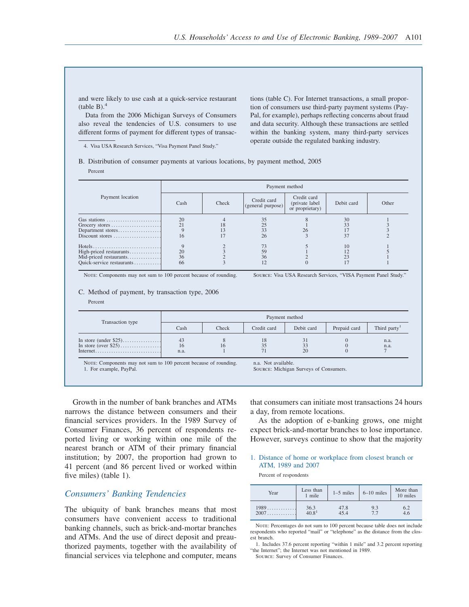and were likely to use cash at a quick-service restaurant  $(table B)<sup>4</sup>$ 

Data from the 2006 Michigan Surveys of Consumers also reveal the tendencies of U.S. consumers to use different forms of payment for different types of transac-

4. Visa USA Research Services, "Visa Payment Panel Study."

tions (table C). For Internet transactions, a small proportion of consumers use third-party payment systems (Pay-Pal, for example), perhaps reflecting concerns about fraud and data security. Although these transactions are settled within the banking system, many third-party services operate outside the regulated banking industry.

B. Distribution of consumer payments at various locations, by payment method, 2005

Percent

|                                                                                | Payment method |       |                                  |                                                   |                |       |  |  |  |  |
|--------------------------------------------------------------------------------|----------------|-------|----------------------------------|---------------------------------------------------|----------------|-------|--|--|--|--|
| Payment location                                                               | Cash           | Check | Credit card<br>(general purpose) | Credit card<br>(private label)<br>or proprietary) | Debit card     | Other |  |  |  |  |
| Gas stations<br>Grocery stores<br>Department stores<br>Discount stores         | 20<br>16       |       | 35<br>25<br>33<br>26             |                                                   | 30<br>33<br>37 |       |  |  |  |  |
| High-priced restaurants<br>Mid-priced restaurants<br>Quick-service restaurants | 20<br>36<br>66 |       | 73<br>59<br>36<br>12             |                                                   | 10<br>23       |       |  |  |  |  |

Note: Components may not sum to 100 percent because of rounding. Source: Visa USA Research Services, "VISA Payment Panel Study."

#### C. Method of payment, by transaction type, 2006

Percent

|                                                                 |                  |       |                   | Payment method |              |                          |
|-----------------------------------------------------------------|------------------|-------|-------------------|----------------|--------------|--------------------------|
| Transaction type                                                | Cash             | Check | Credit card       | Debit card     | Prepaid card | Third party <sup>1</sup> |
| In store (under $$25)$<br>In store (over $$25)$                 | 43<br>16<br>n.a. | 16    | 18                | 20             |              | n.a.<br>n.a.             |
| NOTE: Components may not sum to 100 percent because of rounding |                  |       | n a Not available |                |              |                          |

NOTE: Components may not sum to 100 percent because of rounding. 1. For example, PayPal.

Source: Michigan Surveys of Consumers.

Growth in the number of bank branches and ATMs narrows the distance between consumers and their financial services providers. In the 1989 Survey of Consumer Finances, 36 percent of respondents reported living or working within one mile of the nearest branch or ATM of their primary financial institution; by 2007, the proportion had grown to 41 percent (and 86 percent lived or worked within five miles) (table 1).

# *Consumers' Banking Tendencies*

The ubiquity of bank branches means that most consumers have convenient access to traditional banking channels, such as brick-and-mortar branches and ATMs. And the use of direct deposit and preauthorized payments, together with the availability of financial services via telephone and computer, means that consumers can initiate most transactions 24 hours a day, from remote locations.

As the adoption of e-banking grows, one might expect brick-and-mortar branches to lose importance. However, surveys continue to show that the majority

1. Distance of home or workplace from closest branch or ATM, 1989 and 2007

Percent of respondents

| Year   | Less than<br>1 mile           | $1-5$ miles | $6-10$ miles | More than<br>10 miles |
|--------|-------------------------------|-------------|--------------|-----------------------|
| $1989$ | $36.3$<br>$40.8$ <sup>1</sup> | 47.8        | 9.3          | 6.2                   |
| 2007   |                               | 45.4        | 77           | 4.6                   |

NOTE: Percentages do not sum to 100 percent because table does not include respondents who reported "mail" or "telephone" as the distance from the closest branch.

Source: Survey of Consumer Finances.

<sup>1.</sup> Includes 37.6 percent reporting "within 1 mile" and 3.2 percent reporting "the Internet"; the Internet was not mentioned in 1989.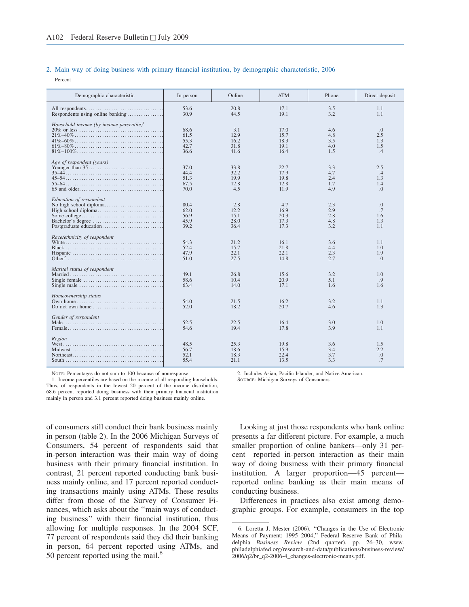#### 2. Main way of doing business with primary financial institution, by demographic characteristic, 2006

Percent

| Demographic characteristic                                                                                                                                                          | In person                            | Online                              | <b>ATM</b>                           | Phone                           | Direct deposit                        |
|-------------------------------------------------------------------------------------------------------------------------------------------------------------------------------------|--------------------------------------|-------------------------------------|--------------------------------------|---------------------------------|---------------------------------------|
| Respondents using online banking                                                                                                                                                    | 53.6<br>30.9                         | 20.8<br>44.5                        | 17.1<br>19.1                         | 3.5<br>3.2                      | 1.1<br>1.1                            |
| Household income (by income percentile) <sup>1</sup>                                                                                                                                | 68.6<br>61.5<br>55.3<br>42.7<br>36.6 | 3.1<br>12.9<br>16.2<br>31.8<br>41.6 | 17.0<br>15.7<br>18.3<br>19.1<br>16.4 | 4.6<br>4.8<br>3.5<br>4.0<br>1.5 | .0<br>2.5<br>1.3<br>1.5<br>.4         |
| Age of respondent (years)                                                                                                                                                           | 37.0<br>44.4<br>51.3<br>67.5<br>70.0 | 33.8<br>32.2<br>19.9<br>12.8<br>4.5 | 22.7<br>17.9<br>19.8<br>12.8<br>11.9 | 3.3<br>4.7<br>2.4<br>1.7<br>4.9 | 2.5<br>.4<br>1.3<br>1.4<br>$\Omega$ . |
| Education of respondent                                                                                                                                                             | 80.4<br>62.0<br>56.9<br>45.9<br>39.2 | 2.8<br>12.2<br>15.1<br>28.0<br>36.4 | 4.7<br>16.9<br>20.3<br>17.3<br>17.3  | 2.3<br>2.9<br>2.8<br>4.8<br>3.2 | .0<br>.7<br>1.6<br>1.3<br>1.1         |
| Race/ethnicity of respondent                                                                                                                                                        | 54.3<br>52.4<br>47.9<br>51.0         | 21.2<br>15.7<br>22.1<br>27.5        | 16.1<br>21.8<br>22.1<br>14.8         | 3.6<br>4.4<br>2.3<br>2.7        | 1.1<br>1.0<br>1.9<br>$\Omega$ .       |
| Marital status of respondent                                                                                                                                                        | 49.1<br>58.6<br>63.4                 | 26.8<br>10.4<br>14.0                | 15.6<br>20.9<br>17.1                 | 3.2<br>5.1<br>1.6               | 1.0<br>.9<br>1.6                      |
| Homeownership status<br>Own home $\ldots \ldots \ldots \ldots \ldots \ldots \ldots \ldots \ldots \ldots$<br>Do not own home $\dots \dots \dots \dots \dots \dots \dots \dots \dots$ | 54.0<br>52.0                         | 21.5<br>18.2                        | 16.2<br>20.7                         | 3.2<br>4.6                      | 1.1<br>1.3                            |
| Gender of respondent                                                                                                                                                                | 52.5<br>54.6                         | 22.5<br>19.4                        | 16.4<br>17.8                         | 3.0<br>3.9                      | 1.0<br>1.1                            |
| Region                                                                                                                                                                              | 48.5<br>56.7<br>52.1<br>55.4         | 25.3<br>18.6<br>18.3<br>21.1        | 19.8<br>15.9<br>22.4<br>13.5         | 3.6<br>3.4<br>3.7<br>3.3        | 1.5<br>2.2<br>.0<br>.7                |

NOTE: Percentages do not sum to 100 because of nonresponse.

1. Income percentiles are based on the income of all responding households. Thus, of respondents in the lowest 20 percent of the income distribution, 68.6 percent reported doing business with their primary financial institution mainly in person and 3.1 percent reported doing business mainly online.

of consumers still conduct their bank business mainly in person (table 2). In the 2006 Michigan Surveys of Consumers, 54 percent of respondents said that in-person interaction was their main way of doing business with their primary financial institution. In contrast, 21 percent reported conducting bank business mainly online, and 17 percent reported conducting transactions mainly using ATMs. These results differ from those of the Survey of Consumer Finances, which asks about the ''main ways of conducting business'' with their financial institution, thus allowing for multiple responses. In the 2004 SCF, 77 percent of respondents said they did their banking in person, 64 percent reported using ATMs, and 50 percent reported using the mail. $<sup>6</sup>$ </sup>

2. Includes Asian, Pacific Islander, and Native American.

Source: Michigan Surveys of Consumers.

Looking at just those respondents who bank online presents a far different picture. For example, a much smaller proportion of online bankers—only 31 percent—reported in-person interaction as their main way of doing business with their primary financial institution. A larger proportion—45 percent reported online banking as their main means of conducting business.

Differences in practices also exist among demographic groups. For example, consumers in the top

<sup>6.</sup> Loretta J. Mester (2006), ''Changes in the Use of Electronic Means of Payment: 1995–2004,'' Federal Reserve Bank of Philadelphia *Business Review* (2nd quarter), pp. 26–30, www. philadelphiafed.org/research-and-data/publications/business-review/ 2006/q2/br\_q2-2006-4\_changes-electronic-means.pdf.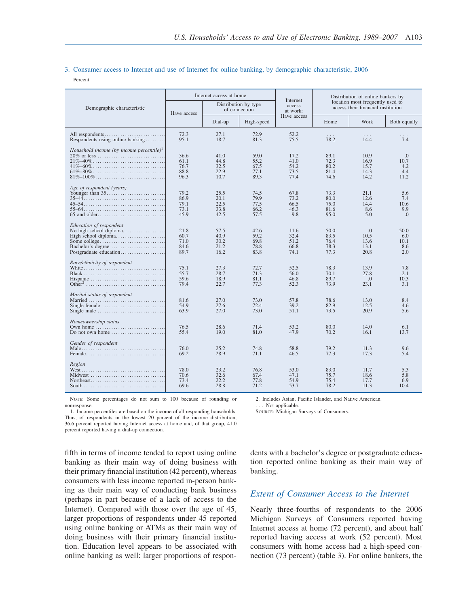# 3. Consumer access to Internet and use of Internet for online banking, by demographic characteristic, 2006

Percent

|                                                                                                                                                                                           |                                      | Internet access at home              |                                       | Internet                             | Distribution of online bankers by    |                                                                        |                                         |  |
|-------------------------------------------------------------------------------------------------------------------------------------------------------------------------------------------|--------------------------------------|--------------------------------------|---------------------------------------|--------------------------------------|--------------------------------------|------------------------------------------------------------------------|-----------------------------------------|--|
| Demographic characteristic                                                                                                                                                                | Have access                          |                                      | Distribution by type<br>of connection | access<br>at work:                   |                                      | location most frequently used to<br>access their financial institution |                                         |  |
|                                                                                                                                                                                           |                                      | Dial-up                              | High-speed                            | Have access                          | Home                                 | Work                                                                   | Both equally                            |  |
| All respondents<br>Respondents using online banking                                                                                                                                       | 72.3<br>95.1                         | 27.1<br>18.7                         | 72.9<br>81.3                          | 52.2<br>75.5                         | 78.2                                 | $\cdots$<br>14.4                                                       | 7.4                                     |  |
| Household income (by income percentile) <sup>1</sup><br>$21\% - 40\%$<br>$41\% - 60\%$<br>$81\% - 100\%$                                                                                  | 36.6<br>61.1<br>76.7<br>88.8<br>96.3 | 41.0<br>44.8<br>32.5<br>22.9<br>10.7 | 59.0<br>55.2<br>67.5<br>77.1<br>89.3  | 17.2<br>41.0<br>54.2<br>73.5<br>77.4 | 89.1<br>72.3<br>80.2<br>81.4<br>74.6 | 10.9<br>16.9<br>15.7<br>14.3<br>14.2                                   | 0.<br>10.7<br>4.2<br>4.4<br>11.2        |  |
| Age of respondent (years)                                                                                                                                                                 | 79.2<br>86.9<br>79.1<br>73.1<br>45.9 | 25.5<br>20.1<br>22.5<br>33.8<br>42.5 | 74.5<br>79.9<br>77.5<br>66.2<br>57.5  | 67.8<br>73.2<br>66.5<br>46.3<br>9.8  | 73.3<br>80.0<br>75.0<br>81.6<br>95.0 | 21.1<br>12.6<br>14.4<br>8.6<br>5.0                                     | 5.6<br>7.4<br>10.6<br>9.9<br>$\Omega$ . |  |
| Education of respondent<br>No high school diploma<br>High school diploma<br>Bachelor's degree<br>Postgraduate education                                                                   | 21.8<br>60.7<br>71.0<br>84.6<br>89.7 | 57.5<br>40.9<br>30.2<br>21.2<br>16.2 | 42.6<br>59.2<br>69.8<br>78.8<br>83.8  | 11.6<br>32.4<br>51.2<br>66.8<br>74.1 | 50.0<br>83.5<br>76.4<br>78.3<br>77.3 | $\Omega$ .<br>10.5<br>13.6<br>13.1<br>20.8                             | 50.0<br>6.0<br>10.1<br>8.6<br>2.0       |  |
| Race/ethnicity of respondent                                                                                                                                                              | 75.1<br>55.7<br>59.6<br>79.4         | 27.3<br>28.7<br>18.9<br>22.7         | 72.7<br>71.3<br>81.1<br>77.3          | 52.5<br>56.0<br>46.8<br>52.3         | 78.3<br>70.1<br>89.7<br>73.9         | 13.9<br>27.8<br>$\Omega$<br>23.1                                       | 7.8<br>2.1<br>10.3<br>3.1               |  |
| Marital status of respondent<br>Married<br>Single female $\dots\dots\dots\dots\dots\dots\dots\dots\dots\dots\dots$<br>Single male $\dots \dots \dots \dots \dots \dots \dots \dots \dots$ | 81.6<br>54.9<br>63.9                 | 27.0<br>27.6<br>27.0                 | 73.0<br>72.4<br>73.0                  | 57.8<br>39.2<br>51.1                 | 78.6<br>82.9<br>73.5                 | 13.0<br>12.5<br>20.9                                                   | 8.4<br>4.6<br>5.6                       |  |
| Homeownership status<br>Do not own home $\dots\dots\dots\dots\dots\dots\dots\dots$                                                                                                        | 76.5<br>55.4                         | 28.6<br>19.0                         | 71.4<br>81.0                          | 53.2<br>47.9                         | 80.0<br>70.2                         | 14.0<br>16.1                                                           | 6.1<br>13.7                             |  |
| Gender of respondent                                                                                                                                                                      | 76.0<br>69.2                         | 25.2<br>28.9                         | 74.8<br>71.1                          | 58.8<br>46.5                         | 79.2<br>77.3                         | 11.3<br>17.3                                                           | 9.6<br>5.4                              |  |
| Region<br>Midwest                                                                                                                                                                         | 78.0<br>70.6<br>73.4<br>69.6         | 23.2<br>32.6<br>22.2<br>28.8         | 76.8<br>67.4<br>77.8<br>71.2          | 53.0<br>47.1<br>54.9<br>53.7         | 83.0<br>75.7<br>75.4<br>78.2         | 11.7<br>18.6<br>17.7<br>11.3                                           | 5.3<br>5.8<br>6.9<br>10.4               |  |

NOTE: Some percentages do not sum to 100 because of rounding or nonresponse.

1. Income percentiles are based on the income of all responding households. Thus, of respondents in the lowest 20 percent of the income distribution, 36.6 percent reported having Internet access at home and, of that group, 41.0 percent reported having a dial-up connection.

fifth in terms of income tended to report using online banking as their main way of doing business with their primary financial institution (42 percent), whereas consumers with less income reported in-person banking as their main way of conducting bank business (perhaps in part because of a lack of access to the Internet). Compared with those over the age of 45, larger proportions of respondents under 45 reported using online banking or ATMs as their main way of doing business with their primary financial institution. Education level appears to be associated with online banking as well: larger proportions of respon2. Includes Asian, Pacific Islander, and Native American.

. . . Not applicable.

Source: Michigan Surveys of Consumers.

dents with a bachelor's degree or postgraduate education reported online banking as their main way of banking.

# *Extent of Consumer Access to the Internet*

Nearly three-fourths of respondents to the 2006 Michigan Surveys of Consumers reported having Internet access at home (72 percent), and about half reported having access at work (52 percent). Most consumers with home access had a high-speed connection (73 percent) (table 3). For online bankers, the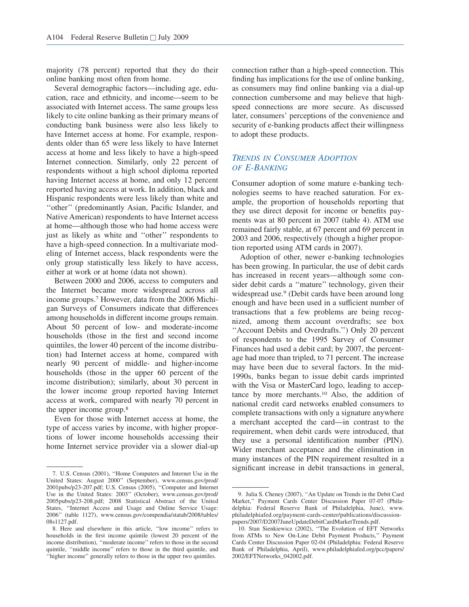majority (78 percent) reported that they do their online banking most often from home.

Several demographic factors—including age, education, race and ethnicity, and income—seem to be associated with Internet access. The same groups less likely to cite online banking as their primary means of conducting bank business were also less likely to have Internet access at home. For example, respondents older than 65 were less likely to have Internet access at home and less likely to have a high-speed Internet connection. Similarly, only 22 percent of respondents without a high school diploma reported having Internet access at home, and only 12 percent reported having access at work. In addition, black and Hispanic respondents were less likely than white and ''other'' (predominantly Asian, Pacific Islander, and Native American) respondents to have Internet access at home—although those who had home access were just as likely as white and ''other'' respondents to have a high-speed connection. In a multivariate modeling of Internet access, black respondents were the only group statistically less likely to have access, either at work or at home (data not shown).

Between 2000 and 2006, access to computers and the Internet became more widespread across all income groups.<sup>7</sup> However, data from the 2006 Michigan Surveys of Consumers indicate that differences among households in different income groups remain. About 50 percent of low- and moderate-income households (those in the first and second income quintiles, the lower 40 percent of the income distribution) had Internet access at home, compared with nearly 90 percent of middle- and higher-income households (those in the upper 60 percent of the income distribution); similarly, about 30 percent in the lower income group reported having Internet access at work, compared with nearly 70 percent in the upper income group.<sup>8</sup>

Even for those with Internet access at home, the type of access varies by income, with higher proportions of lower income households accessing their home Internet service provider via a slower dial-up connection rather than a high-speed connection. This finding has implications for the use of online banking, as consumers may find online banking via a dial-up connection cumbersome and may believe that highspeed connections are more secure. As discussed later, consumers' perceptions of the convenience and security of e-banking products affect their willingness to adopt these products.

# *TRENDS IN CONSUMER ADOPTION OF E-BANKING*

Consumer adoption of some mature e-banking technologies seems to have reached saturation. For example, the proportion of households reporting that they use direct deposit for income or benefits payments was at 80 percent in 2007 (table 4). ATM use remained fairly stable, at 67 percent and 69 percent in 2003 and 2006, respectively (though a higher proportion reported using ATM cards in 2007).

Adoption of other, newer e-banking technologies has been growing. In particular, the use of debit cards has increased in recent years—although some consider debit cards a ''mature'' technology, given their widespread use.<sup>9</sup> (Debit cards have been around long enough and have been used in a sufficient number of transactions that a few problems are being recognized, among them account overdrafts; see box ''Account Debits and Overdrafts.'') Only 20 percent of respondents to the 1995 Survey of Consumer Finances had used a debit card; by 2007, the percentage had more than tripled, to 71 percent. The increase may have been due to several factors. In the mid-1990s, banks began to issue debit cards imprinted with the Visa or MasterCard logo, leading to acceptance by more merchants.<sup>10</sup> Also, the addition of national credit card networks enabled consumers to complete transactions with only a signature anywhere a merchant accepted the card—in contrast to the requirement, when debit cards were introduced, that they use a personal identification number (PIN). Wider merchant acceptance and the elimination in many instances of the PIN requirement resulted in a significant increase in debit transactions in general,

<sup>7.</sup> U.S. Census (2001), ''Home Computers and Internet Use in the United States: August 2000'' (September), www.census.gov/prod/ 2001pubs/p23-207.pdf; U.S. Census (2005), ''Computer and Internet Use in the United States: 2003'' (October), www.census.gov/prod/ 2005pubs/p23-208.pdf; 2008 Statistical Abstract of the United States, ''Internet Access and Usage and Online Service Usage: 2006'' (table 1127), www.census.gov/compendia/statab/2008/tables/ 08s1127.pdf.

<sup>8.</sup> Here and elsewhere in this article, ''low income'' refers to households in the first income quintile (lowest 20 percent of the income distribution), ''moderate income'' refers to those in the second quintile, ''middle income'' refers to those in the third quintile, and "higher income" generally refers to those in the upper two quintiles.

<sup>9.</sup> Julia S. Cheney (2007), ''An Update on Trends in the Debit Card Market,'' Payment Cards Center Discussion Paper 07-07 (Philadelphia: Federal Reserve Bank of Philadelphia, June), www. philadelphiafed.org/payment-cards-center/publications/discussionpapers/2007/D2007JuneUpdateDebitCardMarketTrends.pdf.

<sup>10.</sup> Stan Sienkiewicz (2002), ''The Evolution of EFT Networks from ATMs to New On-Line Debit Payment Products,'' Payment Cards Center Discussion Paper 02-04 (Philadelphia: Federal Reserve Bank of Philadelphia, April), www.philadelphiafed.org/pcc/papers/ 2002/EFTNetworks\_042002.pdf.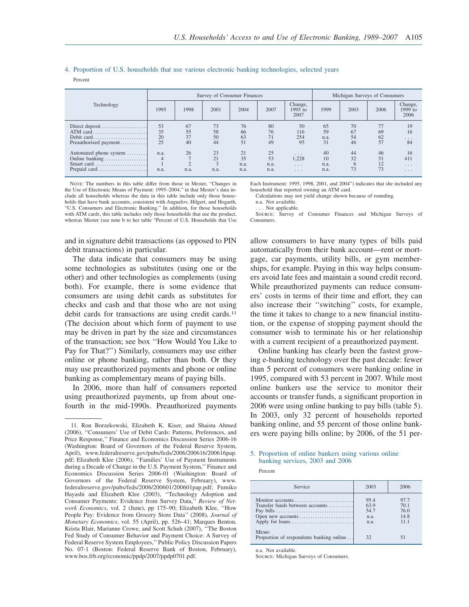#### 4. Proportion of U.S. households that use various electronic banking technologies, selected years

Percent

|                                                                        |                      |                         |                      | Survey of Consumer Finances | Michigan Surveys of Consumers |                                                                                        |                          |                      |                      |                                                                 |
|------------------------------------------------------------------------|----------------------|-------------------------|----------------------|-----------------------------|-------------------------------|----------------------------------------------------------------------------------------|--------------------------|----------------------|----------------------|-----------------------------------------------------------------|
| Technology                                                             | 1995                 | 1998                    | 2001                 | 2004                        | 2007                          | Change,<br>$1995$ to<br>2007                                                           | 1999                     | 2003                 | 2006                 | Change,<br>$1999$ to<br>2006                                    |
| Direct deposit<br>ATM card<br>Debit card<br>Preauthorized payment      | 53<br>35<br>20<br>25 | 67<br>55<br>37<br>40    | 73<br>58<br>50<br>44 | 76<br>66<br>63<br>51        | 80<br>76<br>49                | 50<br>116<br>254<br>95                                                                 | 65<br>59<br>n.a.<br>31   | 70<br>67<br>54<br>46 | 77<br>69<br>62<br>57 | 19<br>16<br>$\cdots$<br>84                                      |
| Automated phone system<br>Online banking<br>Smart card<br>Prepaid card | n.a.<br>4<br>n.a.    | 26<br>$\bigcap$<br>n.a. | 23<br>21<br>n.a.     | 21<br>35<br>n.a.<br>n.a.    | 25<br>53<br>n.a.<br>n.a.      | $\cdot$ $\cdot$ $\cdot$<br>1,228<br>$\cdot$ $\cdot$ $\cdot$<br>$\cdot$ $\cdot$ $\cdot$ | 40<br>10<br>n.a.<br>n.a. | 44<br>32<br>6<br>73  | 46<br>51<br>12<br>73 | 16<br>411<br>$\cdot$ $\cdot$ $\cdot$<br>$\cdot$ $\cdot$ $\cdot$ |

NOTE: The numbers in this table differ from those in Mester, "Changes in the Use of Electronic Means of Payment: 1995–2004," in that Mester's data include all households whereas the data in this table include only those households that have bank accounts, consistent with Anguelov, Hilgert, and Hogarth, "U.S. Consumers and Electronic Banking." In addition, for those households with ATM cards, this table includes only those households that use the product, whereas Mester (see note b to her table "Percent of U.S. Households that Use

Each Instrument: 1995, 1998, 2001, and 2004") indicates that she included any household that reported owning an ATM card.

Calculations may not yield change shown because of rounding.

n.a. Not available.

.. Not applicable.

Source: Survey of Consumer Finances and Michigan Surveys of Consumers.

and in signature debit transactions (as opposed to PIN debit transactions) in particular.

The data indicate that consumers may be using some technologies as substitutes (using one or the other) and other technologies as complements (using both). For example, there is some evidence that consumers are using debit cards as substitutes for checks and cash and that those who are not using debit cards for transactions are using credit cards.<sup>11</sup> (The decision about which form of payment to use may be driven in part by the size and circumstances of the transaction; see box ''How Would You Like to Pay for That?'') Similarly, consumers may use either online or phone banking, rather than both. Or they may use preauthorized payments and phone or online banking as complementary means of paying bills.

In 2006, more than half of consumers reported using preauthorized payments, up from about onefourth in the mid-1990s. Preauthorized payments allow consumers to have many types of bills paid automatically from their bank account—rent or mortgage, car payments, utility bills, or gym memberships, for example. Paying in this way helps consumers avoid late fees and maintain a sound credit record. While preauthorized payments can reduce consumers' costs in terms of their time and effort, they can also increase their ''switching'' costs, for example, the time it takes to change to a new financial institution, or the expense of stopping payment should the consumer wish to terminate his or her relationship with a current recipient of a preauthorized payment.

Online banking has clearly been the fastest growing e-banking technology over the past decade: fewer than 5 percent of consumers were banking online in 1995, compared with 53 percent in 2007. While most online bankers use the service to monitor their accounts or transfer funds, a significant proportion in 2006 were using online banking to pay bills (table 5). In 2003, only 32 percent of households reported banking online, and 55 percent of those online bankers were paying bills online; by 2006, of the 51 per-

#### 5. Proportion of online bankers using various online banking services, 2003 and 2006

Percent

| Service                                                                  | 2003                                 | 2006                                |
|--------------------------------------------------------------------------|--------------------------------------|-------------------------------------|
| Monitor accounts<br>Transfer funds between accounts<br>Open new accounts | 95.4<br>63.9<br>54.7<br>n.a.<br>n.a. | 97.7<br>70.1<br>76.0<br>14.8<br>111 |
| <b>MEMO</b><br>Proportion of respondents banking online                  | 32                                   | 51                                  |

n.a. Not available.

Source: Michigan Surveys of Consumers.

<sup>11.</sup> Ron Borzekowski, Elizabeth K. Kiser, and Shaista Ahmed (2006), ''Consumers' Use of Debit Cards: Patterns, Preferences, and Price Response,'' Finance and Economics Discussion Series 2006-16 (Washington: Board of Governors of the Federal Reserve System, April), www.federalreserve.gov/pubs/feds/2006/200616/200616pap. pdf; Elizabeth Klee (2006), ''Families' Use of Payment Instruments during a Decade of Change in the U.S. Payment System,'' Finance and Economics Discussion Series 2006-01 (Washington: Board of Governors of the Federal Reserve System, February), www. federalreserve.gov/pubs/feds/2006/200601/200601pap.pdf; Fumiko Hayashi and Elizabeth Klee (2003), ''Technology Adoption and Consumer Payments: Evidence from Survey Data,'' *Review of Network Economics*, vol. 2 (June), pp 175–90; Elizabeth Klee, ''How People Pay: Evidence from Grocery Store Data'' (2008), *Journal of Monetary Economics*, vol. 55 (April), pp. 526–41; Marques Benton, Krista Blair, Marianne Crowe, and Scott Schuh (2007), ''The Boston Fed Study of Consumer Behavior and Payment Choice: A Survey of Federal Reserve System Employees,'' Public Policy Discussion Papers No. 07-1 (Boston: Federal Reserve Bank of Boston, February), www.bos.frb.org/economic/ppdp/2007/ppdp0701.pdf.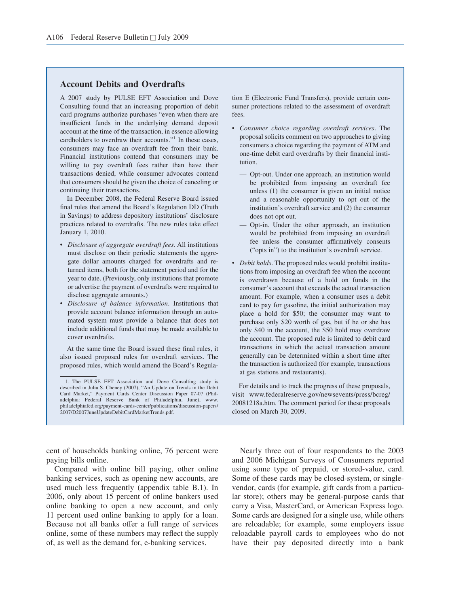# **Account Debits and Overdrafts**

A 2007 study by PULSE EFT Association and Dove Consulting found that an increasing proportion of debit card programs authorize purchases "even when there are insufficient funds in the underlying demand deposit account at the time of the transaction, in essence allowing cardholders to overdraw their accounts."<sup>1</sup> In these cases, consumers may face an overdraft fee from their bank. Financial institutions contend that consumers may be willing to pay overdraft fees rather than have their transactions denied, while consumer advocates contend that consumers should be given the choice of canceling or continuing their transactions.

In December 2008, the Federal Reserve Board issued final rules that amend the Board's Regulation DD (Truth in Savings) to address depository institutions' disclosure practices related to overdrafts. The new rules take effect January 1, 2010.

- *Disclosure of aggregate overdraft fees*. All institutions must disclose on their periodic statements the aggregate dollar amounts charged for overdrafts and returned items, both for the statement period and for the year to date. (Previously, only institutions that promote or advertise the payment of overdrafts were required to disclose aggregate amounts.)
- *Disclosure of balance information*. Institutions that provide account balance information through an automated system must provide a balance that does not include additional funds that may be made available to cover overdrafts.

At the same time the Board issued these final rules, it also issued proposed rules for overdraft services. The proposed rules, which would amend the Board's Regulation E (Electronic Fund Transfers), provide certain consumer protections related to the assessment of overdraft fees.

- *Consumer choice regarding overdraft services*. The proposal solicits comment on two approaches to giving consumers a choice regarding the payment of ATM and one-time debit card overdrafts by their financial institution.
	- Opt-out. Under one approach, an institution would be prohibited from imposing an overdraft fee unless (1) the consumer is given an initial notice and a reasonable opportunity to opt out of the institution's overdraft service and (2) the consumer does not opt out.
	- Opt-in. Under the other approach, an institution would be prohibited from imposing an overdraft fee unless the consumer affirmatively consents ("opts in") to the institution's overdraft service.
- *Debit holds*. The proposed rules would prohibit institutions from imposing an overdraft fee when the account is overdrawn because of a hold on funds in the consumer's account that exceeds the actual transaction amount. For example, when a consumer uses a debit card to pay for gasoline, the initial authorization may place a hold for \$50; the consumer may want to purchase only \$20 worth of gas, but if he or she has only \$40 in the account, the \$50 hold may overdraw the account. The proposed rule is limited to debit card transactions in which the actual transaction amount generally can be determined within a short time after the transaction is authorized (for example, transactions at gas stations and restaurants).

For details and to track the progress of these proposals, visit www.federalreserve.gov/newsevents/press/bcreg/ 20081218a.htm. The comment period for these proposals closed on March 30, 2009.

cent of households banking online, 76 percent were paying bills online.

Compared with online bill paying, other online banking services, such as opening new accounts, are used much less frequently (appendix table B.1). In 2006, only about 15 percent of online bankers used online banking to open a new account, and only 11 percent used online banking to apply for a loan. Because not all banks offer a full range of services online, some of these numbers may reflect the supply of, as well as the demand for, e-banking services.

Nearly three out of four respondents to the 2003 and 2006 Michigan Surveys of Consumers reported using some type of prepaid, or stored-value, card. Some of these cards may be closed-system, or singlevendor, cards (for example, gift cards from a particular store); others may be general-purpose cards that carry a Visa, MasterCard, or American Express logo. Some cards are designed for a single use, while others are reloadable; for example, some employers issue reloadable payroll cards to employees who do not have their pay deposited directly into a bank

<sup>1.</sup> The PULSE EFT Association and Dove Consulting study is described in Julia S. Cheney (2007), "An Update on Trends in the Debit Card Market," Payment Cards Center Discussion Paper 07-07 (Philadelphia: Federal Reserve Bank of Philadelphia, June), www. philadelphiafed.org/payment-cards-center/publications/discussion-papers/ 2007/D2007JuneUpdateDebitCardMarketTrends.pdf.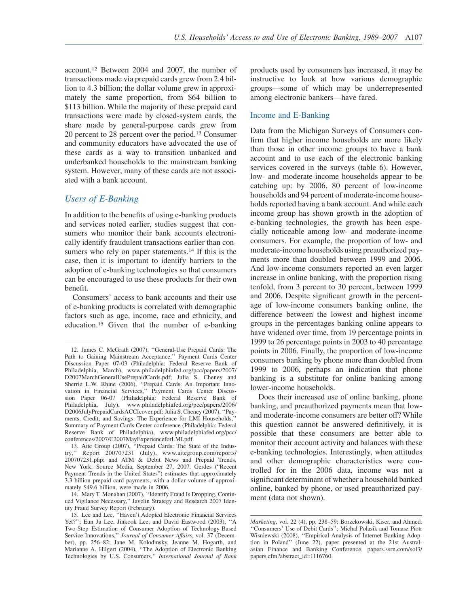account.<sup>12</sup> Between 2004 and 2007, the number of transactions made via prepaid cards grew from 2.4 billion to 4.3 billion; the dollar volume grew in approximately the same proportion, from \$64 billion to \$113 billion. While the majority of these prepaid card transactions were made by closed-system cards, the share made by general-purpose cards grew from 20 percent to 28 percent over the period.<sup>13</sup> Consumer and community educators have advocated the use of these cards as a way to transition unbanked and underbanked households to the mainstream banking system. However, many of these cards are not associated with a bank account.

# *Users of E-Banking*

In addition to the benefits of using e-banking products and services noted earlier, studies suggest that consumers who monitor their bank accounts electronically identify fraudulent transactions earlier than consumers who rely on paper statements.<sup>14</sup> If this is the case, then it is important to identify barriers to the adoption of e-banking technologies so that consumers can be encouraged to use these products for their own benefit.

Consumers' access to bank accounts and their use of e-banking products is correlated with demographic factors such as age, income, race and ethnicity, and education.<sup>15</sup> Given that the number of e-banking products used by consumers has increased, it may be instructive to look at how various demographic groups—some of which may be underrepresented among electronic bankers—have fared.

# Income and E-Banking

Data from the Michigan Surveys of Consumers confirm that higher income households are more likely than those in other income groups to have a bank account and to use each of the electronic banking services covered in the surveys (table 6). However, low- and moderate-income households appear to be catching up: by 2006, 80 percent of low-income households and 94 percent of moderate-income households reported having a bank account. And while each income group has shown growth in the adoption of e-banking technologies, the growth has been especially noticeable among low- and moderate-income consumers. For example, the proportion of low- and moderate-income households using preauthorized payments more than doubled between 1999 and 2006. And low-income consumers reported an even larger increase in online banking, with the proportion rising tenfold, from 3 percent to 30 percent, between 1999 and 2006. Despite significant growth in the percentage of low-income consumers banking online, the difference between the lowest and highest income groups in the percentages banking online appears to have widened over time, from 19 percentage points in 1999 to 26 percentage points in 2003 to 40 percentage points in 2006. Finally, the proportion of low-income consumers banking by phone more than doubled from 1999 to 2006, perhaps an indication that phone banking is a substitute for online banking among lower-income households.

Does their increased use of online banking, phone banking, and preauthorized payments mean that lowand moderate-income consumers are better off? While this question cannot be answered definitively, it is possible that these consumers are better able to monitor their account activity and balances with these e-banking technologies. Interestingly, when attitudes and other demographic characteristics were controlled for in the 2006 data, income was not a significant determinant of whether a household banked online, banked by phone, or used preauthorized payment (data not shown).

<sup>12.</sup> James C. McGrath (2007), ''General-Use Prepaid Cards: The Path to Gaining Mainstream Acceptance,'' Payment Cards Center Discussion Paper 07-03 (Philadelphia: Federal Reserve Bank of Philadelphia, March), www.philadelphiafed.org/pcc/papers/2007/ D2007MarchGeneralUsePrepaidCards.pdf; Julia S. Cheney and Sherrie L.W. Rhine (2006), ''Prepaid Cards: An Important Innovation in Financial Services,'' Payment Cards Center Discussion Paper 06-07 (Philadelphia: Federal Reserve Bank of Philadelphia, July), www.philadelphiafed.org/pcc/papers/2006/ D2006JulyPrepaidCardsACCIcover.pdf; Julia S. Cheney (2007), ''Payments, Credit, and Savings: The Experience for LMI Households,'' Summary of Payment Cards Center conference (Philadelphia: Federal Reserve Bank of Philadelphia), www.philadelphiafed.org/pcc/ conferences/2007/C2007MayExperienceforLMI.pdf.

<sup>13.</sup> Aite Group (2007), ''Prepaid Cards: The State of the Industry,'' Report 200707231 (July), www.aitegroup.com/reports/ 200707231.php; and ATM & Debit News and Prepaid Trends, New York: Source Media, September 27, 2007. Gerdes ("Recent Payment Trends in the United States") estimates that approximately 3.3 billion prepaid card payments, with a dollar volume of approximately \$49.6 billion, were made in 2006.

<sup>14.</sup> Mary T. Monahan (2007), ''Identify Fraud Is Dropping, Continued Vigilance Necessary,'' Javelin Strategy and Research 2007 Identity Fraud Survey Report (February).

<sup>15.</sup> Lee and Lee, ''Haven't Adopted Electronic Financial Services Yet?''; Eun Ju Lee, Jinkook Lee, and David Eastwood (2003), ''A Two-Step Estimation of Consumer Adoption of Technology-Based Service Innovations,'' *Journal of Consumer Affairs*, vol. 37 (December), pp. 256–82; Jane M. Kolodinsky, Jeanne M. Hogarth, and Marianne A. Hilgert (2004), ''The Adoption of Electronic Banking Technologies by U.S. Consumers,'' *International Journal of Bank*

*Marketing*, vol. 22 (4), pp. 238–59; Borzekowski, Kiser, and Ahmed. ''Consumers' Use of Debit Cards''; Michal Polasik and Tomasz Piotr Wisniewski (2008), ''Empirical Analysis of Internet Banking Adoption in Poland'' (June 22), paper presented at the 21st Australasian Finance and Banking Conference, papers.ssrn.com/sol3/ papers.cfm?abstract\_id=1116760.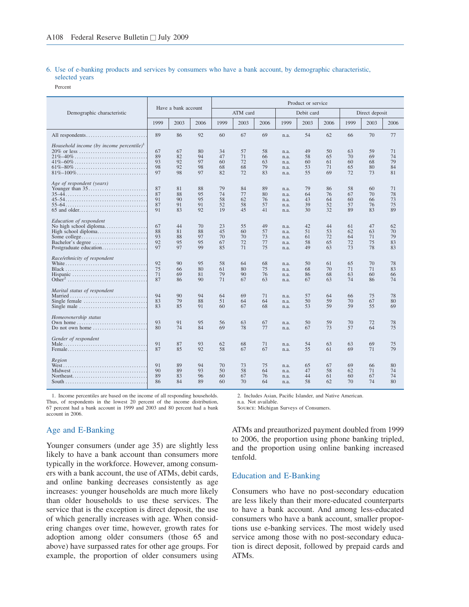# 6. Use of e-banking products and services by consumers who have a bank account, by demographic characteristic, selected years

Percent

|                                                                                                                                                                                       |                            | Have a bank account        |                            |                            |                            |                            |                                      | Product or service         |                            |                            |                            |                            |  |
|---------------------------------------------------------------------------------------------------------------------------------------------------------------------------------------|----------------------------|----------------------------|----------------------------|----------------------------|----------------------------|----------------------------|--------------------------------------|----------------------------|----------------------------|----------------------------|----------------------------|----------------------------|--|
| Demographic characteristic                                                                                                                                                            |                            |                            |                            |                            | ATM card                   |                            |                                      | Debit card                 |                            | Direct deposit             |                            |                            |  |
|                                                                                                                                                                                       | 1999                       | 2003                       | 2006                       | 1999                       | 2003                       | 2006                       | 1999                                 | 2003                       | 2006                       | 1999                       | 2003                       | 2006                       |  |
| All respondents                                                                                                                                                                       | 89                         | 86                         | 92                         | 60                         | 67                         | 69                         | n.a.                                 | 54                         | 62                         | 66                         | 70                         | 77                         |  |
| Household income (by income percentile) <sup>1</sup><br>$20\%$ or less<br>$41\% - 60\% \ldots \ldots \ldots \ldots \ldots \ldots \ldots \ldots \ldots \ldots \ldots$<br>$61\% - 80\%$ | 67<br>89<br>93<br>98<br>97 | 67<br>82<br>92<br>92<br>98 | 80<br>94<br>97<br>98<br>97 | 34<br>47<br>60<br>68<br>82 | 57<br>71<br>72<br>68<br>72 | 58<br>66<br>63<br>79<br>83 | n.a.<br>n.a.<br>n.a.<br>n.a.<br>n.a. | 49<br>58<br>60<br>53<br>55 | 50<br>65<br>61<br>71<br>69 | 63<br>70<br>60<br>65<br>72 | 59<br>69<br>68<br>80<br>73 | 71<br>74<br>79<br>84<br>81 |  |
| Age of respondent (years)                                                                                                                                                             | 87<br>87<br>91<br>87<br>91 | 81<br>88<br>90<br>91<br>83 | 88<br>95<br>95<br>91<br>92 | 79<br>74<br>58<br>52<br>19 | 84<br>77<br>62<br>58<br>45 | 89<br>80<br>76<br>57<br>41 | n.a.<br>n.a.<br>n.a.<br>n.a.<br>n.a. | 79<br>64<br>43<br>39<br>30 | 86<br>76<br>64<br>52<br>32 | 58<br>67<br>60<br>57<br>89 | 60<br>70<br>66<br>76<br>83 | 71<br>78<br>73<br>75<br>89 |  |
| Education of respondent<br>No high school diploma<br>High school diploma<br>Some college<br>Bachelor's degree<br>Postgraduate education                                               | 67<br>88<br>93<br>92<br>97 | 44<br>81<br>88<br>95<br>97 | 70<br>88<br>97<br>95<br>99 | 23<br>45<br>70<br>67<br>85 | 55<br>60<br>70<br>72<br>71 | 49<br>57<br>73<br>77<br>75 | n.a.<br>n.a.<br>n.a.<br>n.a.<br>n.a. | 42<br>51<br>61<br>58<br>49 | 44<br>53<br>72<br>65<br>63 | 61<br>62<br>64<br>72<br>73 | 47<br>63<br>71<br>75<br>78 | 62<br>70<br>79<br>83<br>83 |  |
| Race/ethnicity of respondent<br>Hispanic                                                                                                                                              | 92<br>75<br>71<br>87       | 90<br>66<br>69<br>86       | 95<br>80<br>81<br>90       | 58<br>61<br>79<br>71       | 64<br>80<br>90<br>67       | 68<br>75<br>76<br>63       | n.a.<br>n.a.<br>n.a.<br>n.a.         | 50<br>68<br>86<br>67       | 61<br>70<br>68<br>63       | 65<br>71<br>63<br>74       | 70<br>71<br>60<br>86       | 78<br>83<br>66<br>74       |  |
| Marital status of respondent<br>Single female $\dots\dots\dots\dots\dots\dots\dots\dots\dots\dots$<br>Single male                                                                     | 94<br>83<br>83             | 90<br>79<br>85             | 94<br>88<br>91             | 64<br>51<br>60             | 69<br>64<br>67             | 71<br>64<br>68             | n.a.<br>n.a.<br>n.a.                 | 57<br>50<br>53             | 64<br>59<br>59             | 66<br>70<br>59             | 75<br>67<br>55             | 78<br>80<br>69             |  |
| Homeownership status<br>Own home<br>Do not own home                                                                                                                                   | 93<br>80                   | 91<br>74                   | 95<br>84                   | 56<br>69                   | 63<br>78                   | 67<br>77                   | n.a.<br>n.a.                         | 50<br>67                   | 59<br>73                   | 70<br>57                   | 72<br>64                   | 78<br>75                   |  |
| Gender of respondent                                                                                                                                                                  | 91<br>87                   | 87<br>85                   | 93<br>92                   | 62<br>58                   | 68<br>67                   | 71<br>67                   | n.a.<br>n.a.                         | 54<br>55                   | 63<br>61                   | 63<br>69                   | 69<br>71                   | 75<br>79                   |  |
| Region<br>Midwest                                                                                                                                                                     | 91<br>90<br>89<br>86       | 89<br>89<br>83<br>84       | 94<br>93<br>96<br>89       | 70<br>50<br>60<br>60       | 73<br>58<br>67<br>70       | 75<br>64<br>76<br>64       | n.a.<br>n.a.<br>n.a.<br>n.a.         | 65<br>47<br>44<br>58       | 67<br>58<br>61<br>62       | 69<br>62<br>60<br>70       | 66<br>71<br>67<br>74       | 80<br>74<br>74<br>80       |  |

1. Income percentiles are based on the income of all responding households. Thus, of respondents in the lowest 20 percent of the income distribution, 67 percent had a bank account in 1999 and 2003 and 80 percent had a bank account in 2006.

# n.a. Not available.

2. Includes Asian, Pacific Islander, and Native American.

Source: Michigan Surveys of Consumers.

# Age and E-Banking

Younger consumers (under age 35) are slightly less likely to have a bank account than consumers more typically in the workforce. However, among consumers with a bank account, the use of ATMs, debit cards, and online banking decreases consistently as age increases: younger households are much more likely than older households to use these services. The service that is the exception is direct deposit, the use of which generally increases with age. When considering changes over time, however, growth rates for adoption among older consumers (those 65 and above) have surpassed rates for other age groups. For example, the proportion of older consumers using

ATMs and preauthorized payment doubled from 1999 to 2006, the proportion using phone banking tripled, and the proportion using online banking increased tenfold.

# Education and E-Banking

Consumers who have no post-secondary education are less likely than their more-educated counterparts to have a bank account. And among less-educated consumers who have a bank account, smaller proportions use e-banking services. The most widely used service among those with no post-secondary education is direct deposit, followed by prepaid cards and ATMs.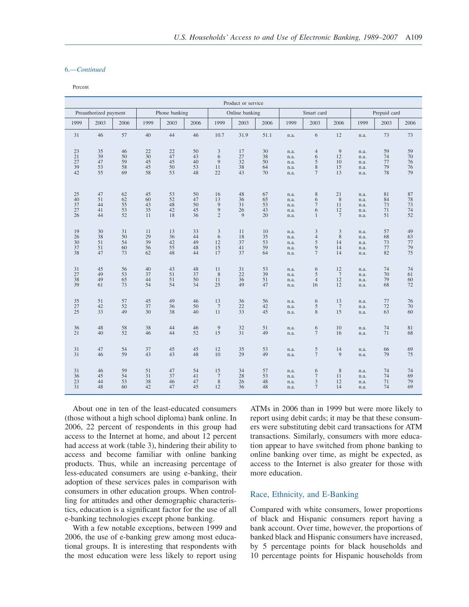#### 6.—*Continued*

Percent

|        | Product or service    |      |      |               |      |                  |                |      |      |                |                 |      |              |      |
|--------|-----------------------|------|------|---------------|------|------------------|----------------|------|------|----------------|-----------------|------|--------------|------|
|        | Preauthorized payment |      |      | Phone banking |      |                  | Online banking |      |      | Smart card     |                 |      | Prepaid card |      |
| 1999   | 2003                  | 2006 | 1999 | 2003          | 2006 | 1999             | 2003           | 2006 | 1999 | 2003           | 2006            | 1999 | 2003         | 2006 |
| 31     | 46                    | 57   | 40   | 44            | 46   | 10.7             | 31.9           | 51.1 | n.a. | 6              | 12              | n.a. | 73           | 73   |
| 23     | 35                    | 46   | 22   | 22            | 50   | $\mathfrak{Z}$   | 17             | 30   | n.a. | $\overline{4}$ | 9               | n.a. | 59           | 59   |
| 21     | 39                    | 50   | 30   | 47            | 43   | 6                | 27             | 38   | n.a. | 6              | 12              | n.a. | 74           | 70   |
| $27\,$ | 47                    | 59   | 45   | 45            | 40   | 9                | 32             | 50   | n.a. | $\mathfrak s$  | 10              | n.a. | 77           | 76   |
| 39     | 53                    | 58   | 45   | 50            | 53   | 11               | 38             | 64   | n.a. | $\,$ 8 $\,$    | 15              | n.a. | 79           | 76   |
| 42     | 55                    | 69   | 58   | 53            | 48   | 22               | 43             | 70   | n.a. | $\tau$         | 13              | n.a. | 78           | 79   |
| 25     | 47                    | 62   | 45   | 53            | 50   | 16               | 48             | 67   | n.a. | $\,$ 8 $\,$    | 21              | n.a. | 81           | 87   |
| 40     | 51                    | 62   | 60   | 52            | 47   | 13               | 36             | 65   | n.a. | 6              | $\,$ 8 $\,$     | n.a. | 84           | 78   |
| 37     | 44                    | 55   | 43   | 48            | 50   | 9                | 31             | 53   | n.a. | $\overline{7}$ | 11              | n.a. | 73           | 73   |
| 27     | 41                    | 53   | 35   | 42            | 45   | $\tilde{9}$      | 26             | 43   | n.a. | 6              | 12              | n.a. | 71           | 74   |
| 26     | 44                    | 52   | 11   | 18            | 36   | $\overline{c}$   | 9              | 20   | n.a. | $\mathbf{1}$   | $7\phantom{.0}$ | n.a. | 51           | 52   |
| 19     | 30                    | 31   | 11   | 13            | 33   | $\mathfrak{Z}$   | 11             | 10   | n.a. | $\mathfrak{Z}$ | 3               | n.a. | 57           | 49   |
| 26     | 38                    | 50   | 29   | 36            | 44   | 6                | 18             | 35   | n.a. | $\overline{4}$ | 8               | n.a. | 68           | 63   |
| 30     | 51                    | 54   | 39   | 42            | 49   | 12               | 37             | 53   | n.a. | 5              | 14              | n.a. | 73           | 77   |
| 37     | 51                    | 60   | 56   | 55            | 48   | 15               | 41             | 59   | n.a. | 9              | 14              | n.a. | 77           | 79   |
| 38     | 47                    | 73   | 62   | 48            | 44   | 17               | 37             | 64   | n.a. | $\tau$         | 14              | n.a. | 82           | 75   |
| 31     | 45                    | 56   | 40   | 43            | 48   | 11               | 31             | 53   | n.a. | 6              | 12              | n.a. | 74           | 74   |
| 27     | 49                    | 53   | 37   | 51            | 37   | 8                | 22             | 39   | n.a. | 5              | $7\phantom{.0}$ | n.a. | 70           | 61   |
| 38     | 49                    | 65   | 44   | 51            | 50   | 11               | 36             | 51   | n.a. | $\overline{4}$ | 12              | n.a. | 79           | 60   |
| 39     | 61                    | 73   | 54   | 54            | 34   | 25               | 49             | 47   | n.a. | 16             | 12              | n.a. | 68           | 72   |
| 35     | 51                    | 57   | 45   | 49            | 46   | 13               | 36             | 56   | n.a. | 6              | 13              | n.a. | 77           | 76   |
| $27\,$ | 42                    | 52   | 37   | 36            | 50   | $7\phantom{.0}$  | $22\,$         | 42   | n.a. | $\sqrt{5}$     | $7\phantom{.0}$ | n.a. | 72           | 70   |
| 25     | 33                    | 49   | 30   | 38            | 40   | 11               | 33             | 45   | n.a. | $\,$ 8 $\,$    | 15              | n.a. | 63           | 60   |
| 36     | 48                    | 58   | 38   | 44            | 46   | $\overline{9}$   | 32             | 51   | n.a. | 6              | 10              | n.a. | 74           | 81   |
| 21     | 40                    | 52   | 46   | 44            | 52   | 15               | 31             | 49   | n.a. | $\tau$         | 16              | n.a. | 71           | 68   |
| 31     | 47                    | 54   | 37   | 45            | 45   | 12               | 35             | 53   | n.a. | $\frac{5}{7}$  | 14              | n.a. | 66           | 69   |
| 31     | 46                    | 59   | 43   | 43            | 48   | 10               | 29             | 49   | n.a. |                | 9               | n.a. | 79           | 75   |
| 31     | 46                    | 59   | 51   | 47            | 54   | 15               | 34             | 57   | n.a. | 6              | 8               | n.a. | 74           | 74   |
| 36     | 45                    | 54   | 31   | 37            | 41   | $\boldsymbol{7}$ | 28             | 53   | n.a. | $\tau$         | 11              | n.a. | 74           | 69   |
| 23     | 44                    | 53   | 38   | 46            | 47   | 8                | 26             | 48   | n.a. | 3              | 12              | n.a. | 71           | 79   |
| 31     | 48                    | 60   | 42   | 47            | 45   | 12               | 36             | 48   | n.a. | $\overline{7}$ | 14              | n.a. | 74           | 69   |

About one in ten of the least-educated consumers (those without a high school diploma) bank online. In 2006, 22 percent of respondents in this group had access to the Internet at home, and about 12 percent had access at work (table 3), hindering their ability to access and become familiar with online banking products. Thus, while an increasing percentage of less-educated consumers are using e-banking, their adoption of these services pales in comparison with consumers in other education groups. When controlling for attitudes and other demographic characteristics, education is a significant factor for the use of all e-banking technologies except phone banking.

With a few notable exceptions, between 1999 and 2006, the use of e-banking grew among most educational groups. It is interesting that respondents with the most education were less likely to report using ATMs in 2006 than in 1999 but were more likely to report using debit cards; it may be that these consumers were substituting debit card transactions for ATM transactions. Similarly, consumers with more education appear to have switched from phone banking to online banking over time, as might be expected, as access to the Internet is also greater for those with more education.

# Race, Ethnicity, and E-Banking

Compared with white consumers, lower proportions of black and Hispanic consumers report having a bank account. Over time, however, the proportions of banked black and Hispanic consumers have increased, by 5 percentage points for black households and 10 percentage points for Hispanic households from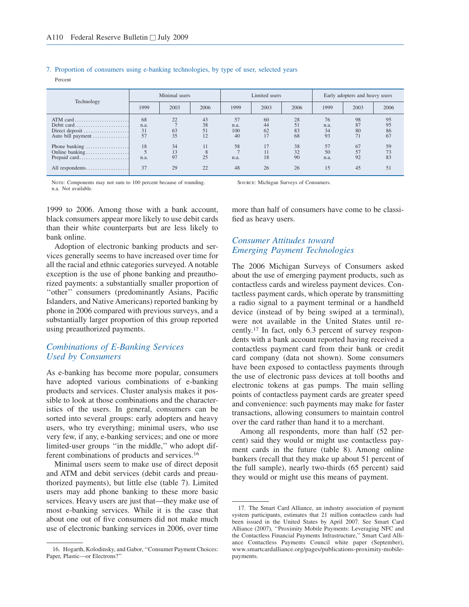#### 7. Proportion of consumers using e-banking technologies, by type of user, selected years

Percent

| Technology                                         | Minimal users          |                |                      |                         | Limited users        |                      | Early adopters and heavy users |                      |                      |
|----------------------------------------------------|------------------------|----------------|----------------------|-------------------------|----------------------|----------------------|--------------------------------|----------------------|----------------------|
|                                                    | 1999                   | 2003           | 2006                 | 1999                    | 2003                 | 2006                 | 1999                           | 2003                 | 2006                 |
| Direct deposit<br>Auto bill payment                | 68<br>n.a.<br>31<br>57 | 22<br>63<br>35 | 43<br>38<br>51<br>12 | 57<br>n.a.<br>100<br>40 | 60<br>44<br>62<br>17 | 28<br>51<br>83<br>68 | 76<br>n.a.<br>34<br>93         | 98<br>87<br>80<br>71 | 95<br>95<br>86<br>67 |
| Phone banking<br>Online banking<br>All respondents | 18<br>n.a.<br>37       | 34<br>97<br>29 | 11<br>25<br>22       | 58<br>n.a.<br>48        | 17<br>18<br>26       | 38<br>32<br>90<br>26 | 57<br>50<br>n.a.<br>15         | 67<br>92<br>45       | 59<br>73<br>83<br>51 |

NOTE: Components may not sum to 100 percent because of rounding. n.a. Not available.

1999 to 2006. Among those with a bank account, black consumers appear more likely to use debit cards than their white counterparts but are less likely to bank online.

Adoption of electronic banking products and services generally seems to have increased over time for all the racial and ethnic categories surveyed. A notable exception is the use of phone banking and preauthorized payments: a substantially smaller proportion of ''other'' consumers (predominantly Asians, Pacific Islanders, and Native Americans) reported banking by phone in 2006 compared with previous surveys, and a substantially larger proportion of this group reported using preauthorized payments.

# *Combinations of E-Banking Services Used by Consumers*

As e-banking has become more popular, consumers have adopted various combinations of e-banking products and services. Cluster analysis makes it possible to look at those combinations and the characteristics of the users. In general, consumers can be sorted into several groups: early adopters and heavy users, who try everything; minimal users, who use very few, if any, e-banking services; and one or more limited-user groups ''in the middle,'' who adopt different combinations of products and services.<sup>16</sup>

Minimal users seem to make use of direct deposit and ATM and debit services (debit cards and preauthorized payments), but little else (table 7). Limited users may add phone banking to these more basic services. Heavy users are just that—they make use of most e-banking services. While it is the case that about one out of five consumers did not make much use of electronic banking services in 2006, over time Source: Michigan Surveys of Consumers.

more than half of consumers have come to be classified as heavy users.

# *Consumer Attitudes toward Emerging Payment Technologies*

The 2006 Michigan Surveys of Consumers asked about the use of emerging payment products, such as contactless cards and wireless payment devices. Contactless payment cards, which operate by transmitting a radio signal to a payment terminal or a handheld device (instead of by being swiped at a terminal), were not available in the United States until recently.<sup>17</sup> In fact, only 6.3 percent of survey respondents with a bank account reported having received a contactless payment card from their bank or credit card company (data not shown). Some consumers have been exposed to contactless payments through the use of electronic pass devices at toll booths and electronic tokens at gas pumps. The main selling points of contactless payment cards are greater speed and convenience: such payments may make for faster transactions, allowing consumers to maintain control over the card rather than hand it to a merchant.

Among all respondents, more than half (52 percent) said they would or might use contactless payment cards in the future (table 8). Among online bankers (recall that they make up about 51 percent of the full sample), nearly two-thirds (65 percent) said they would or might use this means of payment.

<sup>16.</sup> Hogarth, Kolodinsky, and Gabor, ''Consumer Payment Choices: Paper, Plastic—or Electrons?''

<sup>17.</sup> The Smart Card Alliance, an industry association of payment system participants, estimates that 21 million contactless cards had been issued in the United States by April 2007. See Smart Card Alliance (2007), ''Proximity Mobile Payments: Leveraging NFC and the Contactless Financial Payments Infrastructure,'' Smart Card Alliance Contactless Payments Council white paper (September), www.smartcardalliance.org/pages/publications-proximity-mobilepayments.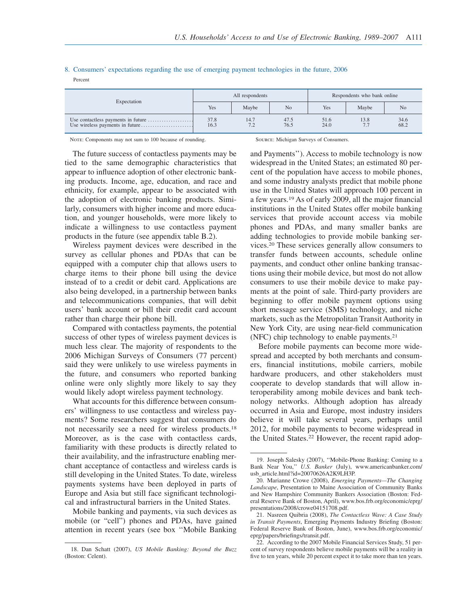#### 8. Consumers' expectations regarding the use of emerging payment technologies in the future, 2006 Percent

| Expectation |              | All respondents                        |              | Respondents who bank online |       |                |  |
|-------------|--------------|----------------------------------------|--------------|-----------------------------|-------|----------------|--|
|             | Yes          | Maybe                                  | No           | Yes                         | Maybe | N <sub>o</sub> |  |
|             | 37.8<br>16.3 | 14.7<br>72<br>$\overline{\phantom{a}}$ | 47.5<br>76.5 | 51.6<br>24.0                | 13.8  | 34.6<br>68.2   |  |

NOTE: Components may not sum to 100 because of rounding. Source: Michigan Surveys of Consumers.

The future success of contactless payments may be tied to the same demographic characteristics that appear to influence adoption of other electronic banking products. Income, age, education, and race and ethnicity, for example, appear to be associated with the adoption of electronic banking products. Similarly, consumers with higher income and more education, and younger households, were more likely to indicate a willingness to use contactless payment products in the future (see appendix table B.2).

Wireless payment devices were described in the survey as cellular phones and PDAs that can be equipped with a computer chip that allows users to charge items to their phone bill using the device instead of to a credit or debit card. Applications are also being developed, in a partnership between banks and telecommunications companies, that will debit users' bank account or bill their credit card account rather than charge their phone bill.

Compared with contactless payments, the potential success of other types of wireless payment devices is much less clear. The majority of respondents to the 2006 Michigan Surveys of Consumers (77 percent) said they were unlikely to use wireless payments in the future, and consumers who reported banking online were only slightly more likely to say they would likely adopt wireless payment technology.

What accounts for this difference between consumers' willingness to use contactless and wireless payments? Some researchers suggest that consumers do not necessarily see a need for wireless products.<sup>18</sup> Moreover, as is the case with contactless cards, familiarity with these products is directly related to their availability, and the infrastructure enabling merchant acceptance of contactless and wireless cards is still developing in the United States. To date, wireless payments systems have been deployed in parts of Europe and Asia but still face significant technological and infrastructural barriers in the United States.

Mobile banking and payments, via such devices as mobile (or "cell") phones and PDAs, have gained attention in recent years (see box ''Mobile Banking and Payments''). Access to mobile technology is now widespread in the United States; an estimated 80 percent of the population have access to mobile phones, and some industry analysts predict that mobile phone use in the United States will approach 100 percent in a few years.<sup>19</sup> As of early 2009, all the major financial institutions in the United States offer mobile banking services that provide account access via mobile phones and PDAs, and many smaller banks are adding technologies to provide mobile banking services.<sup>20</sup> These services generally allow consumers to transfer funds between accounts, schedule online payments, and conduct other online banking transactions using their mobile device, but most do not allow consumers to use their mobile device to make payments at the point of sale. Third-party providers are beginning to offer mobile payment options using short message service (SMS) technology, and niche markets, such as the Metropolitan Transit Authority in New York City, are using near-field communication (NFC) chip technology to enable payments.<sup>21</sup>

Before mobile payments can become more widespread and accepted by both merchants and consumers, financial institutions, mobile carriers, mobile hardware producers, and other stakeholders must cooperate to develop standards that will allow interoperability among mobile devices and bank technology networks. Although adoption has already occurred in Asia and Europe, most industry insiders believe it will take several years, perhaps until 2012, for mobile payments to become widespread in the United States.<sup>22</sup> However, the recent rapid adop-

<sup>18.</sup> Dan Schatt (2007), *US Mobile Banking: Beyond the Buzz* (Boston: Celent).

<sup>19.</sup> Joseph Salesky (2007), ''Mobile-Phone Banking: Coming to a Bank Near You,'' *U.S. Banker* (July), www.americanbanker.com/ usb\_article.html?id=20070626A2K9LH3P.

<sup>20.</sup> Marianne Crowe (2008), *Emerging Payments—The Changing Landscape*, Presentation to Maine Association of Community Banks and New Hampshire Community Bankers Association (Boston: Federal Reserve Bank of Boston, April), www.bos.frb.org/economic/eprg/ presentations/2008/crowe04151708.pdf.

<sup>21.</sup> Nasreen Quibria (2008), *The Contactless Wave: A Case Study in Transit Payments*, Emerging Payments Industry Briefing (Boston: Federal Reserve Bank of Boston, June), www.bos.frb.org/economic/ eprg/papers/briefings/transit.pdf.

<sup>22.</sup> According to the 2007 Mobile Financial Services Study, 51 percent of survey respondents believe mobile payments will be a reality in five to ten years, while 20 percent expect it to take more than ten years.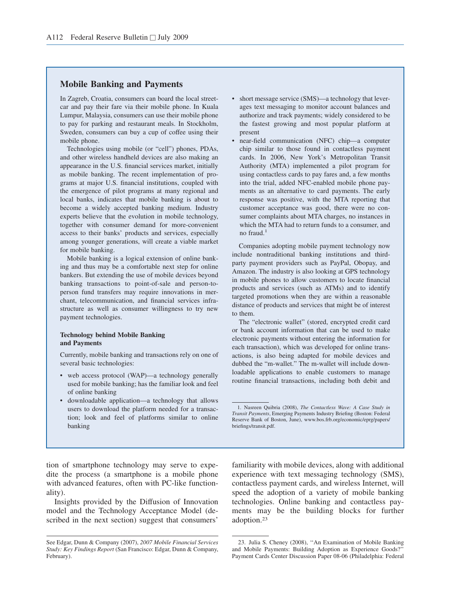# **Mobile Banking and Payments**

In Zagreb, Croatia, consumers can board the local streetcar and pay their fare via their mobile phone. In Kuala Lumpur, Malaysia, consumers can use their mobile phone to pay for parking and restaurant meals. In Stockholm, Sweden, consumers can buy a cup of coffee using their mobile phone.

Technologies using mobile (or "cell") phones, PDAs, and other wireless handheld devices are also making an appearance in the U.S. financial services market, initially as mobile banking. The recent implementation of programs at major U.S. financial institutions, coupled with the emergence of pilot programs at many regional and local banks, indicates that mobile banking is about to become a widely accepted banking medium. Industry experts believe that the evolution in mobile technology, together with consumer demand for more-convenient access to their banks' products and services, especially among younger generations, will create a viable market for mobile banking.

Mobile banking is a logical extension of online banking and thus may be a comfortable next step for online bankers. But extending the use of mobile devices beyond banking transactions to point-of-sale and person-toperson fund transfers may require innovations in merchant, telecommunication, and financial services infrastructure as well as consumer willingness to try new payment technologies.

#### **Technology behind Mobile Banking and Payments**

Currently, mobile banking and transactions rely on one of several basic technologies:

- web access protocol (WAP)—a technology generally used for mobile banking; has the familiar look and feel of online banking
- downloadable application—a technology that allows users to download the platform needed for a transaction; look and feel of platforms similar to online banking
- short message service (SMS)—a technology that leverages text messaging to monitor account balances and authorize and track payments; widely considered to be the fastest growing and most popular platform at present
- near-field communication (NFC) chip—a computer chip similar to those found in contactless payment cards. In 2006, New York's Metropolitan Transit Authority (MTA) implemented a pilot program for using contactless cards to pay fares and, a few months into the trial, added NFC-enabled mobile phone payments as an alternative to card payments. The early response was positive, with the MTA reporting that customer acceptance was good, there were no consumer complaints about MTA charges, no instances in which the MTA had to return funds to a consumer, and no fraud. $<sup>1</sup>$ </sup>

Companies adopting mobile payment technology now include nontraditional banking institutions and thirdparty payment providers such as PayPal, Obopay, and Amazon. The industry is also looking at GPS technology in mobile phones to allow customers to locate financial products and services (such as ATMs) and to identify targeted promotions when they are within a reasonable distance of products and services that might be of interest to them.

The "electronic wallet" (stored, encrypted credit card or bank account information that can be used to make electronic payments without entering the information for each transaction), which was developed for online transactions, is also being adapted for mobile devices and dubbed the "m-wallet." The m-wallet will include downloadable applications to enable customers to manage routine financial transactions, including both debit and

tion of smartphone technology may serve to expedite the process (a smartphone is a mobile phone with advanced features, often with PC-like functionality).

Insights provided by the Diffusion of Innovation model and the Technology Acceptance Model (described in the next section) suggest that consumers'

familiarity with mobile devices, along with additional experience with text messaging technology (SMS), contactless payment cards, and wireless Internet, will speed the adoption of a variety of mobile banking technologies. Online banking and contactless payments may be the building blocks for further adoption.<sup>23</sup>

<sup>1.</sup> Nasreen Quibria (2008), *The Contactless Wave: A Case Study in Transit Payments*, Emerging Payments Industry Briefing (Boston: Federal Reserve Bank of Boston, June), www.bos.frb.org/economic/eprg/papers/ briefings/transit.pdf.

See Edgar, Dunn & Company (2007), *2007 Mobile Financial Services Study: Key Findings Report* (San Francisco: Edgar, Dunn & Company, February).

<sup>23.</sup> Julia S. Cheney (2008), ''An Examination of Mobile Banking and Mobile Payments: Building Adoption as Experience Goods?'' Payment Cards Center Discussion Paper 08-06 (Philadelphia: Federal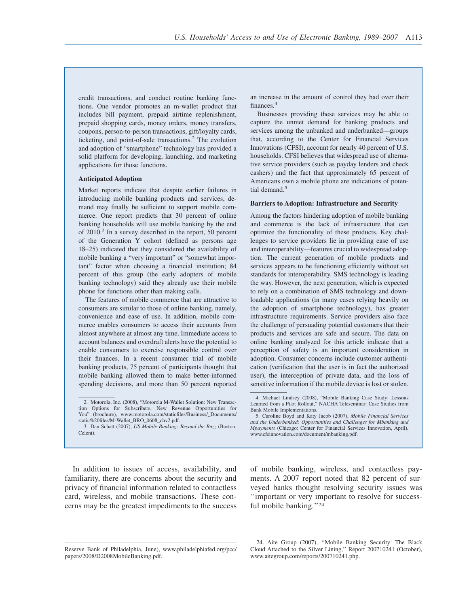credit transactions, and conduct routine banking functions. One vendor promotes an m-wallet product that includes bill payment, prepaid airtime replenishment, prepaid shopping cards, money orders, money transfers, coupons, person-to-person transactions, gift/loyalty cards, ticketing, and point-of-sale transactions.<sup>2</sup> The evolution and adoption of "smartphone" technology has provided a solid platform for developing, launching, and marketing applications for those functions.

#### **Anticipated Adoption**

Market reports indicate that despite earlier failures in introducing mobile banking products and services, demand may finally be sufficient to support mobile commerce. One report predicts that 30 percent of online banking households will use mobile banking by the end of 2010.<sup>3</sup> In a survey described in the report, 50 percent of the Generation Y cohort (defined as persons age 18–25) indicated that they considered the availability of mobile banking a "very important" or "somewhat important" factor when choosing a financial institution; 84 percent of this group (the early adopters of mobile banking technology) said they already use their mobile phone for functions other than making calls.

The features of mobile commerce that are attractive to consumers are similar to those of online banking, namely, convenience and ease of use. In addition, mobile commerce enables consumers to access their accounts from almost anywhere at almost any time. Immediate access to account balances and overdraft alerts have the potential to enable consumers to exercise responsible control over their finances. In a recent consumer trial of mobile banking products, 75 percent of participants thought that mobile banking allowed them to make better-informed spending decisions, and more than 50 percent reported

Businesses providing these services may be able to capture the unmet demand for banking products and services among the unbanked and underbanked—groups that, according to the Center for Financial Services Innovations (CFSI), account for nearly 40 percent of U.S. households. CFSI believes that widespread use of alternative service providers (such as payday lenders and check cashers) and the fact that approximately 65 percent of Americans own a mobile phone are indications of potential demand.<sup>5</sup>

#### **Barriers to Adoption: Infrastructure and Security**

Among the factors hindering adoption of mobile banking and commerce is the lack of infrastructure that can optimize the functionality of these products. Key challenges to service providers lie in providing ease of use and interoperability—features crucial to widespread adoption. The current generation of mobile products and services appears to be functioning efficiently without set standards for interoperability. SMS technology is leading the way. However, the next generation, which is expected to rely on a combination of SMS technology and downloadable applications (in many cases relying heavily on the adoption of smartphone technology), has greater infrastructure requirements. Service providers also face the challenge of persuading potential customers that their products and services are safe and secure. The data on online banking analyzed for this article indicate that a perception of safety is an important consideration in adoption. Consumer concerns include customer authentication (verification that the user is in fact the authorized user), the interception of private data, and the loss of sensitive information if the mobile device is lost or stolen.

In addition to issues of access, availability, and familiarity, there are concerns about the security and privacy of financial information related to contactless card, wireless, and mobile transactions. These concerns may be the greatest impediments to the success of mobile banking, wireless, and contactless payments. A 2007 report noted that 82 percent of surveyed banks thought resolving security issues was ''important or very important to resolve for successful mobile banking.''<sup>24</sup>

<sup>2.</sup> Motorola, Inc. (2008), "Motorola M-Wallet Solution: New Transaction Options for Subscribers, New Revenue Opportunities for You" (brochure), www.motorola.com/staticfiles/Business/\_Documents/ static%20files/M-Wallet\_BRO\_0608\_chv2.pdf.

<sup>3.</sup> Dan Schatt (2007), *US Mobile Banking: Beyond the Buzz* (Boston: Celent).

an increase in the amount of control they had over their finances.<sup>4</sup>

<sup>4.</sup> Michael Lindsey (2008), "Mobile Banking Case Study: Lessons Learned from a Pilot Rollout," NACHA Teleseminar: Case Studies from Bank Mobile Implementations.

<sup>5.</sup> Caroline Boyd and Katy Jacob (2007), *Mobile Financial Services and the Underbanked: Opportunities and Challenges for Mbanking and Mpayments* (Chicago: Center for Financial Services Innovation, April), www.cfsinnovation.com/document/mbanking.pdf.

Reserve Bank of Philadelphia, June), www.philadelphiafed.org/pcc/ papers/2008/D2008MobileBanking.pdf.

<sup>24.</sup> Aite Group (2007), ''Mobile Banking Security: The Black Cloud Attached to the Silver Lining,'' Report 200710241 (October), www.aitegroup.com/reports/200710241.php.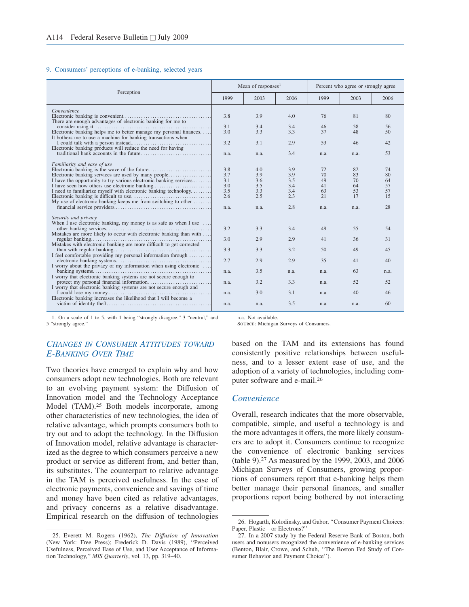#### 9. Consumers' perceptions of e-banking, selected years

|                                                                                                                                                 |                          | Mean of responses <sup>1</sup> |                          | Percent who agree or strongly agree |                      |                      |  |
|-------------------------------------------------------------------------------------------------------------------------------------------------|--------------------------|--------------------------------|--------------------------|-------------------------------------|----------------------|----------------------|--|
| Perception                                                                                                                                      | 1999                     | 2003                           | 2006                     | 1999                                | 2003                 | 2006                 |  |
| Convenience<br>There are enough advantages of electronic banking for me to                                                                      | 3.8                      | 3.9                            | 4.0                      | 76                                  | 81                   | 80                   |  |
| Electronic banking helps me to better manage my personal finances<br>It bothers me to use a machine for banking transactions when               | 3.1<br>3.0               | 3.4<br>3.3                     | 3.4<br>3.3               | 46<br>37                            | 58<br>48             | 56<br>50             |  |
| Electronic banking products will reduce the need for having                                                                                     | 3.2                      | 3.1                            | 2.9                      | 53                                  | 46                   | 42                   |  |
| Familiarity and ease of use                                                                                                                     | n.a.                     | n.a.                           | 3.4                      | n.a.                                | n.a.                 | 53                   |  |
| I have the opportunity to try various electronic banking services                                                                               | 3.8<br>3.7<br>3.1<br>3.0 | 4.0<br>3.9<br>3.6<br>3.5       | 3.9<br>3.9<br>3.5<br>3.4 | 72<br>70<br>49<br>41                | 82<br>83<br>70<br>64 | 74<br>80<br>64<br>57 |  |
| I need to familiarize myself with electronic banking technology<br>My use of electronic banking keeps me from switching to other                | 3.5<br>2.6<br>n.a.       | 3.3<br>2.5<br>n.a.             | 3.4<br>2.3<br>2.8        | 63<br>21<br>n.a.                    | 53<br>17<br>n.a.     | 57<br>15<br>28       |  |
| Security and privacy                                                                                                                            |                          |                                |                          |                                     |                      |                      |  |
| When I use electronic banking, my money is as safe as when I use $\dots$<br>Mistakes are more likely to occur with electronic banking than with | 3.2                      | 3.3                            | 3.4                      | 49                                  | 55                   | 54                   |  |
| Mistakes with electronic banking are more difficult to get corrected                                                                            | 3.0                      | 2.9                            | 2.9                      | 41                                  | 36                   | 31                   |  |
|                                                                                                                                                 | 3.3<br>2.7               | 3.3<br>2.9                     | 3.2<br>2.9               | 50<br>35                            | 49<br>41             | 45<br>40             |  |
| I worry about the privacy of my information when using electronic                                                                               | n.a.                     | 3.5                            | n.a.                     | n.a.                                | 63                   | n.a.                 |  |
| I worry that electronic banking systems are not secure enough to<br>I worry that electronic banking systems are not secure enough and           | n.a.                     | 3.2                            | 3.3                      | n.a.                                | 52                   | 52                   |  |
| Electronic banking increases the likelihood that I will become a                                                                                | n.a.                     | 3.0                            | 3.1                      | n.a.                                | 40                   | 46                   |  |
|                                                                                                                                                 | n.a.                     | n.a.                           | 3.5                      | n.a.                                | n.a.                 | 60                   |  |

1. On a scale of 1 to 5, with 1 being "strongly disagree," 3 "neutral," and 5 "strongly agree."

# *CHANGES IN CONSUMER ATTITUDES TOWARD E-BANKING OVER TIME*

Two theories have emerged to explain why and how consumers adopt new technologies. Both are relevant to an evolving payment system: the Diffusion of Innovation model and the Technology Acceptance Model (TAM).<sup>25</sup> Both models incorporate, among other characteristics of new technologies, the idea of relative advantage, which prompts consumers both to try out and to adopt the technology. In the Diffusion of Innovation model, relative advantage is characterized as the degree to which consumers perceive a new product or service as different from, and better than, its substitutes. The counterpart to relative advantage in the TAM is perceived usefulness. In the case of electronic payments, convenience and savings of time and money have been cited as relative advantages, and privacy concerns as a relative disadvantage. Empirical research on the diffusion of technologies

n.a. Not available. Source: Michigan Surveys of Consumers.

based on the TAM and its extensions has found consistently positive relationships between usefulness, and to a lesser extent ease of use, and the adoption of a variety of technologies, including computer software and e-mail.<sup>26</sup>

#### *Convenience*

Overall, research indicates that the more observable, compatible, simple, and useful a technology is and the more advantages it offers, the more likely consumers are to adopt it. Consumers continue to recognize the convenience of electronic banking services (table 9).<sup>27</sup> As measured by the 1999, 2003, and 2006 Michigan Surveys of Consumers, growing proportions of consumers report that e-banking helps them better manage their personal finances, and smaller proportions report being bothered by not interacting

<sup>25.</sup> Everett M. Rogers (1962), *The Diffusion of Innovation* (New York: Free Press); Frederick D. Davis (1989), ''Perceived Usefulness, Perceived Ease of Use, and User Acceptance of Information Technology,'' *MIS Quarterly*, vol. 13, pp. 319–40.

<sup>26.</sup> Hogarth, Kolodinsky, and Gabor, ''Consumer Payment Choices: Paper, Plastic—or Electrons?''

<sup>27.</sup> In a 2007 study by the Federal Reserve Bank of Boston, both users and nonusers recognized the convenience of e-banking services (Benton, Blair, Crowe, and Schuh, ''The Boston Fed Study of Consumer Behavior and Payment Choice'').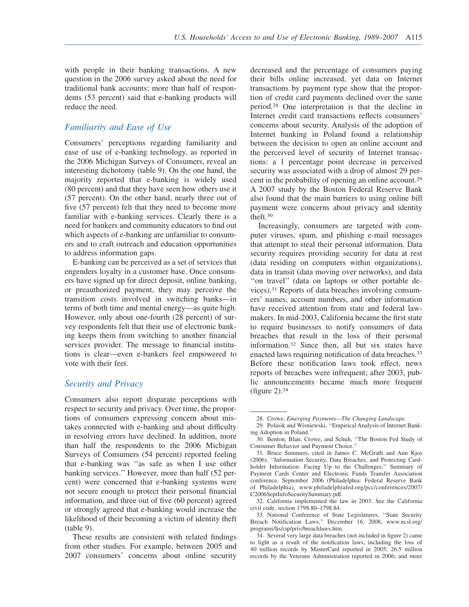with people in their banking transactions. A new question in the 2006 survey asked about the need for traditional bank accounts; more than half of respondents (53 percent) said that e-banking products will reduce the need.

# *Familiarity and Ease of Use*

Consumers' perceptions regarding familiarity and ease of use of e-banking technology, as reported in the 2006 Michigan Surveys of Consumers, reveal an interesting dichotomy (table 9). On the one hand, the majority reported that e-banking is widely used (80 percent) and that they have seen how others use it (57 percent). On the other hand, nearly three out of five (57 percent) felt that they need to become more familiar with e-banking services. Clearly there is a need for bankers and community educators to find out which aspects of e-banking are unfamiliar to consumers and to craft outreach and education opportunities to address information gaps.

E-banking can be perceived as a set of services that engenders loyalty in a customer base. Once consumers have signed up for direct deposit, online banking, or preauthorized payment, they may perceive the transition costs involved in switching banks—in terms of both time and mental energy—as quite high. However, only about one-fourth (28 percent) of survey respondents felt that their use of electronic banking keeps them from switching to another financial services provider. The message to financial institutions is clear—even e-bankers feel empowered to vote with their feet.

# *Security and Privacy*

Consumers also report disparate perceptions with respect to security and privacy. Over time, the proportions of consumers expressing concern about mistakes connected with e-banking and about difficulty in resolving errors have declined. In addition, more than half the respondents to the 2006 Michigan Surveys of Consumers (54 percent) reported feeling that e-banking was ''as safe as when I use other banking services.'' However, more than half (52 percent) were concerned that e-banking systems were not secure enough to protect their personal financial information, and three out of five (60 percent) agreed or strongly agreed that e-banking would increase the likelihood of their becoming a victim of identity theft (table 9).

These results are consistent with related findings from other studies. For example, between 2005 and 2007 consumers' concerns about online security decreased and the percentage of consumers paying their bills online increased, yet data on Internet transactions by payment type show that the proportion of credit card payments declined over the same period.<sup>28</sup> One interpretation is that the decline in Internet credit card transactions reflects consumers' concerns about security. Analysis of the adoption of Internet banking in Poland found a relationship between the decision to open an online account and the perceived level of security of Internet transactions: a 1 percentage point decrease in perceived security was associated with a drop of almost 29 percent in the probability of opening an online account.<sup>29</sup> A 2007 study by the Boston Federal Reserve Bank also found that the main barriers to using online bill payment were concerns about privacy and identity theft.<sup>30</sup>

Increasingly, consumers are targeted with computer viruses, spam, and phishing e-mail messages that attempt to steal their personal information. Data security requires providing security for data at rest (data residing on computers within organizations), data in transit (data moving over networks), and data ''on travel'' (data on laptops or other portable devices).<sup>31</sup> Reports of data breaches involving consumers' names, account numbers, and other information have received attention from state and federal lawmakers. In mid-2003, California became the first state to require businesses to notify consumers of data breaches that result in the loss of their personal information.<sup>32</sup> Since then, all but six states have enacted laws requiring notification of data breaches.<sup>33</sup> Before these notification laws took effect, news reports of breaches were infrequent; after 2003, public announcements became much more frequent (figure 2).<sup>34</sup>

<sup>28.</sup> Crowe, *Emerging Payments—The Changing Landscape*.

<sup>29.</sup> Polasik and Wisniewski, ''Empirical Analysis of Internet Banking Adoption in Poland.''

<sup>30.</sup> Benton, Blair, Crowe, and Schuh, ''The Boston Fed Study of Consumer Behavior and Payment Choice.''

<sup>31.</sup> Bruce Summers, cited in James C. McGrath and Ann Kjos (2006), ''Information Security, Data Breaches, and Protecting Cardholder Information: Facing Up to the Challenges," Summary of Payment Cards Center and Electronic Funds Transfer Association conference, September 2006 (Philadelphia: Federal Reserve Bank of Philadelphia), www.philadelphiafed.org/pcc/conferences/2007/ C2006SeptInfoSecuritySummary.pdf.

<sup>32.</sup> California implemented the law in 2003. See the California civil code, section 1798.80–1798.84.

<sup>33.</sup> National Conference of State Legislatures, ''State Security Breach Notification Laws,'' December 16, 2008, www.ncsl.org/ programs/lis/cip/priv/breachlaws.htm.

<sup>34.</sup> Several very large data breaches (not included in figure 2) came to light as a result of the notification laws, including the loss of 40 million records by MasterCard reported in 2005; 26.5 million records by the Veterans Administration reported in 2006; and more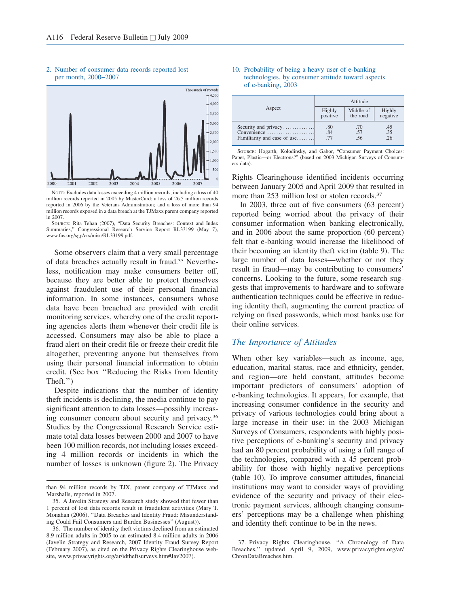

#### 2. Number of consumer data records reported lost per month, 2000−2007

NOTE: Excludes data losses exceeding 4 million records, including a loss of 40 million records reported in 2005 by MasterCard; a loss of 26.5 million records reported in 2006 by the Veterans Administration; and a loss of more than 94 million records exposed in a data breach at the TJMaxx parent company reported in 2007.



Some observers claim that a very small percentage of data breaches actually result in fraud.<sup>35</sup> Nevertheless, notification may make consumers better off, because they are better able to protect themselves against fraudulent use of their personal financial information. In some instances, consumers whose data have been breached are provided with credit monitoring services, whereby one of the credit reporting agencies alerts them whenever their credit file is accessed. Consumers may also be able to place a fraud alert on their credit file or freeze their credit file altogether, preventing anyone but themselves from using their personal financial information to obtain credit. (See box ''Reducing the Risks from Identity Theft.'')

Despite indications that the number of identity theft incidents is declining, the media continue to pay significant attention to data losses—possibly increasing consumer concern about security and privacy.<sup>36</sup> Studies by the Congressional Research Service estimate total data losses between 2000 and 2007 to have been 100 million records, not including losses exceeding 4 million records or incidents in which the number of losses is unknown (figure 2). The Privacy

#### 10. Probability of being a heavy user of e-banking technologies, by consumer attitude toward aspects of e-banking, 2003

|                             | Attitude |           |          |  |  |  |  |  |
|-----------------------------|----------|-----------|----------|--|--|--|--|--|
| Aspect                      | Highly   | Middle of | Highly   |  |  |  |  |  |
|                             | positive | the road  | negative |  |  |  |  |  |
| Security and privacy        | .80      | .70       | .45      |  |  |  |  |  |
| Convenience                 | .84      | .57       | .35      |  |  |  |  |  |
| Familiarity and ease of use | .77      | .56       | .26      |  |  |  |  |  |

Source: Hogarth, Kolodinsky, and Gabor, "Consumer Payment Choices: Paper, Plastic—or Electrons?" (based on 2003 Michigan Surveys of Consumers data).

Rights Clearinghouse identified incidents occurring between January 2005 and April 2009 that resulted in more than 253 million lost or stolen records.<sup>37</sup>

In 2003, three out of five consumers (63 percent) reported being worried about the privacy of their consumer information when banking electronically, and in 2006 about the same proportion (60 percent) felt that e-banking would increase the likelihood of their becoming an identity theft victim (table 9). The large number of data losses—whether or not they result in fraud—may be contributing to consumers' concerns. Looking to the future, some research suggests that improvements to hardware and to software authentication techniques could be effective in reducing identity theft, augmenting the current practice of relying on fixed passwords, which most banks use for their online services.

# *The Importance of Attitudes*

When other key variables—such as income, age, education, marital status, race and ethnicity, gender, and region—are held constant, attitudes become important predictors of consumers' adoption of e-banking technologies. It appears, for example, that increasing consumer confidence in the security and privacy of various technologies could bring about a large increase in their use: in the 2003 Michigan Surveys of Consumers, respondents with highly positive perceptions of e-banking's security and privacy had an 80 percent probability of using a full range of the technologies, compared with a 45 percent probability for those with highly negative perceptions (table 10). To improve consumer attitudes, financial institutions may want to consider ways of providing evidence of the security and privacy of their electronic payment services, although changing consumers' perceptions may be a challenge when phishing and identity theft continue to be in the news.

than 94 million records by TJX, parent company of TJMaxx and Marshalls, reported in 2007.

<sup>35.</sup> A Javelin Strategy and Research study showed that fewer than 1 percent of lost data records result in fraudulent activities (Mary T. Monahan (2006), ''Data Breaches and Identity Fraud: Misunderstanding Could Fail Consumers and Burden Businesses'' (August)).

<sup>36.</sup> The number of identity theft victims declined from an estimated 8.9 million adults in 2005 to an estimated 8.4 million adults in 2006 (Javelin Strategy and Research, 2007 Identity Fraud Survey Report (February 2007), as cited on the Privacy Rights Clearinghouse website, www.privacyrights.org/ar/idtheftsurveys.htm#Jav2007).

<sup>37.</sup> Privacy Rights Clearinghouse, ''A Chronology of Data Breaches,'' updated April 9, 2009, www.privacyrights.org/ar/ ChronDataBreaches.htm.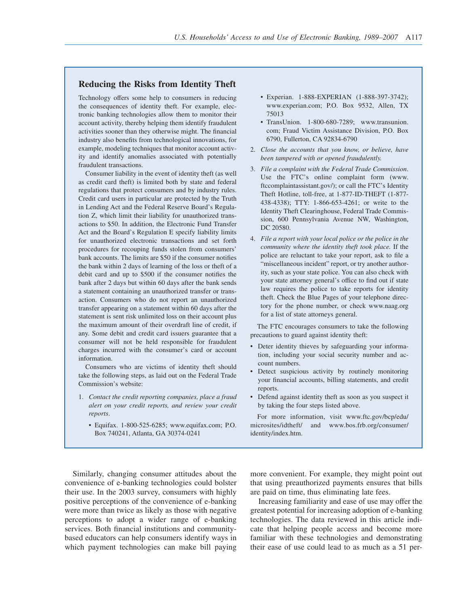# **Reducing the Risks from Identity Theft**

Technology offers some help to consumers in reducing the consequences of identity theft. For example, electronic banking technologies allow them to monitor their account activity, thereby helping them identify fraudulent activities sooner than they otherwise might. The financial industry also benefits from technological innovations, for example, modeling techniques that monitor account activity and identify anomalies associated with potentially fraudulent transactions.

Consumer liability in the event of identity theft (as well as credit card theft) is limited both by state and federal regulations that protect consumers and by industry rules. Credit card users in particular are protected by the Truth in Lending Act and the Federal Reserve Board's Regulation Z, which limit their liability for unauthorized transactions to \$50. In addition, the Electronic Fund Transfer Act and the Board's Regulation E specify liability limits for unauthorized electronic transactions and set forth procedures for recouping funds stolen from consumers' bank accounts. The limits are \$50 if the consumer notifies the bank within 2 days of learning of the loss or theft of a debit card and up to \$500 if the consumer notifies the bank after 2 days but within 60 days after the bank sends a statement containing an unauthorized transfer or transaction. Consumers who do not report an unauthorized transfer appearing on a statement within 60 days after the statement is sent risk unlimited loss on their account plus the maximum amount of their overdraft line of credit, if any. Some debit and credit card issuers guarantee that a consumer will not be held responsible for fraudulent charges incurred with the consumer's card or account information.

Consumers who are victims of identity theft should take the following steps, as laid out on the Federal Trade Commission's website:

- 1. *Contact the credit reporting companies, place a fraud alert on your credit reports, and review your credit reports*.
	- Equifax. 1-800-525-6285; www.equifax.com; P.O. Box 740241, Atlanta, GA 30374-0241
- Experian. 1-888-EXPERIAN (1-888-397-3742); www.experian.com; P.O. Box 9532, Allen, TX 75013
- TransUnion. 1-800-680-7289; www.transunion. com; Fraud Victim Assistance Division, P.O. Box 6790, Fullerton, CA 92834-6790
- 2. *Close the accounts that you know, or believe, have been tampered with or opened fraudulently.*
- 3. *File a complaint with the Federal Trade Commission*. Use the FTC's online complaint form (www. ftccomplaintassistant.gov/); or call the FTC's Identity Theft Hotline, toll-free, at 1-877-ID-THEFT (1-877- 438-4338); TTY: 1-866-653-4261; or write to the Identity Theft Clearinghouse, Federal Trade Commission, 600 Pennsylvania Avenue NW, Washington, DC 20580.
- 4. *File a report with your local police or the police in the community where the identity theft took place.* If the police are reluctant to take your report, ask to file a "miscellaneous incident" report, or try another authority, such as your state police. You can also check with your state attorney general's office to find out if state law requires the police to take reports for identity theft. Check the Blue Pages of your telephone directory for the phone number, or check www.naag.org for a list of state attorneys general.

The FTC encourages consumers to take the following precautions to guard against identity theft:

- Deter identity thieves by safeguarding your information, including your social security number and account numbers.
- Detect suspicious activity by routinely monitoring your financial accounts, billing statements, and credit reports.
- Defend against identity theft as soon as you suspect it by taking the four steps listed above.

For more information, visit www.ftc.gov/bcp/edu/ microsites/idtheft/ and www.bos.frb.org/consumer/ identity/index.htm.

Similarly, changing consumer attitudes about the convenience of e-banking technologies could bolster their use. In the 2003 survey, consumers with highly positive perceptions of the convenience of e-banking were more than twice as likely as those with negative perceptions to adopt a wider range of e-banking services. Both financial institutions and communitybased educators can help consumers identify ways in which payment technologies can make bill paying more convenient. For example, they might point out that using preauthorized payments ensures that bills are paid on time, thus eliminating late fees.

Increasing familiarity and ease of use may offer the greatest potential for increasing adoption of e-banking technologies. The data reviewed in this article indicate that helping people access and become more familiar with these technologies and demonstrating their ease of use could lead to as much as a 51 per-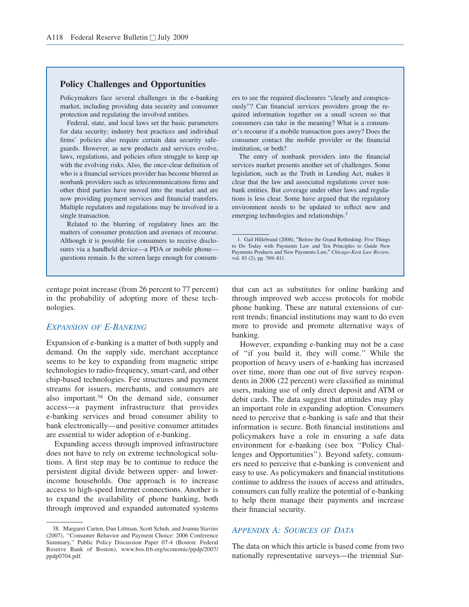# **Policy Challenges and Opportunities**

Policymakers face several challenges in the e-banking market, including providing data security and consumer protection and regulating the involved entities.

Federal, state, and local laws set the basic parameters for data security; industry best practices and individual firms' policies also require certain data security safeguards. However, as new products and services evolve, laws, regulations, and policies often struggle to keep up with the evolving risks. Also, the once-clear definition of who is a financial services provider has become blurred as nonbank providers such as telecommunications firms and other third parties have moved into the market and are now providing payment services and financial transfers. Multiple regulators and regulations may be involved in a single transaction.

Related to the blurring of regulatory lines are the matters of consumer protection and avenues of recourse. Although it is possible for consumers to receive disclosures via a handheld device—a PDA or mobile phone questions remain. Is the screen large enough for consum-

centage point increase (from 26 percent to 77 percent) in the probability of adopting more of these technologies.

# *EXPANSION OF E-BANKING*

Expansion of e-banking is a matter of both supply and demand. On the supply side, merchant acceptance seems to be key to expanding from magnetic stripe technologies to radio-frequency, smart-card, and other chip-based technologies. Fee structures and payment streams for issuers, merchants, and consumers are also important.<sup>38</sup> On the demand side, consumer access—a payment infrastructure that provides e-banking services and broad consumer ability to bank electronically—and positive consumer attitudes are essential to wider adoption of e-banking.

Expanding access through improved infrastructure does not have to rely on extreme technological solutions. A first step may be to continue to reduce the persistent digital divide between upper- and lowerincome households. One approach is to increase access to high-speed Internet connections. Another is to expand the availability of phone banking, both through improved and expanded automated systems ers to see the required disclosures "clearly and conspicuously"? Can financial services providers group the required information together on a small screen so that consumers can take in the meaning? What is a consumer's recourse if a mobile transaction goes awry? Does the consumer contact the mobile provider or the financial institution, or both?

The entry of nonbank providers into the financial services market presents another set of challenges. Some legislation, such as the Truth in Lending Act, makes it clear that the law and associated regulations cover nonbank entities. But coverage under other laws and regulations is less clear. Some have argued that the regulatory environment needs to be updated to reflect new and emerging technologies and relationships.<sup>1</sup>

that can act as substitutes for online banking and through improved web access protocols for mobile phone banking. These are natural extensions of current trends; financial institutions may want to do even more to provide and promote alternative ways of banking.

However, expanding e-banking may not be a case of ''if you build it, they will come.'' While the proportion of heavy users of e-banking has increased over time, more than one out of five survey respondents in 2006 (22 percent) were classified as minimal users, making use of only direct deposit and ATM or debit cards. The data suggest that attitudes may play an important role in expanding adoption. Consumers need to perceive that e-banking is safe and that their information is secure. Both financial institutions and policymakers have a role in ensuring a safe data environment for e-banking (see box ''Policy Challenges and Opportunities''). Beyond safety, consumers need to perceive that e-banking is convenient and easy to use. As policymakers and financial institutions continue to address the issues of access and attitudes, consumers can fully realize the potential of e-banking to help them manage their payments and increase their financial security.

# *APPENDIX A: SOURCES OF DATA*

The data on which this article is based come from two nationally representative surveys—the triennial Sur-

<sup>38.</sup> Margaret Carten, Dan Littman, Scott Schuh, and Joanna Stavins (2007), ''Consumer Behavior and Payment Choice: 2006 Conference Summary,'' Public Policy Discussion Paper 07-4 (Boston: Federal Reserve Bank of Boston), www.bos.frb.org/economic/ppdp/2007/ ppdp0704.pdf.

<sup>1.</sup> Gail Hillebrand (2008), ″Before the Grand Rethinking: Five Things to Do Today with Payments Law and Ten Principles to Guide New Payments Products and New Payments Law,″ *Chicago-Kent Law Review*, vol. 83 (2), pp. 769–811.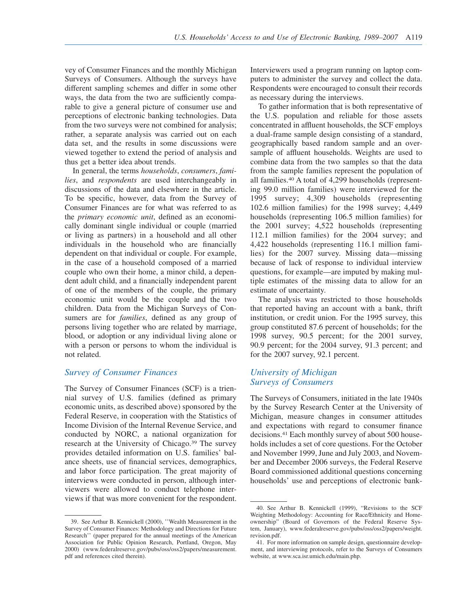vey of Consumer Finances and the monthly Michigan Surveys of Consumers. Although the surveys have different sampling schemes and differ in some other ways, the data from the two are sufficiently comparable to give a general picture of consumer use and perceptions of electronic banking technologies. Data from the two surveys were not combined for analysis; rather, a separate analysis was carried out on each data set, and the results in some discussions were viewed together to extend the period of analysis and thus get a better idea about trends.

In general, the terms *households*, *consumers*, *families*, and *respondents* are used interchangeably in discussions of the data and elsewhere in the article. To be specific, however, data from the Survey of Consumer Finances are for what was referred to as the *primary economic unit*, defined as an economically dominant single individual or couple (married or living as partners) in a household and all other individuals in the household who are financially dependent on that individual or couple. For example, in the case of a household composed of a married couple who own their home, a minor child, a dependent adult child, and a financially independent parent of one of the members of the couple, the primary economic unit would be the couple and the two children. Data from the Michigan Surveys of Consumers are for *families*, defined as any group of persons living together who are related by marriage, blood, or adoption or any individual living alone or with a person or persons to whom the individual is not related.

# *Survey of Consumer Finances*

The Survey of Consumer Finances (SCF) is a triennial survey of U.S. families (defined as primary economic units, as described above) sponsored by the Federal Reserve, in cooperation with the Statistics of Income Division of the Internal Revenue Service, and conducted by NORC, a national organization for research at the University of Chicago.<sup>39</sup> The survey provides detailed information on U.S. families' balance sheets, use of financial services, demographics, and labor force participation. The great majority of interviews were conducted in person, although interviewers were allowed to conduct telephone interviews if that was more convenient for the respondent.

Interviewers used a program running on laptop computers to administer the survey and collect the data. Respondents were encouraged to consult their records as necessary during the interviews.

To gather information that is both representative of the U.S. population and reliable for those assets concentrated in affluent households, the SCF employs a dual-frame sample design consisting of a standard, geographically based random sample and an oversample of affluent households. Weights are used to combine data from the two samples so that the data from the sample families represent the population of all families.<sup>40</sup> A total of 4,299 households (representing 99.0 million families) were interviewed for the 1995 survey; 4,309 households (representing 102.6 million families) for the 1998 survey; 4,449 households (representing 106.5 million families) for the 2001 survey; 4,522 households (representing 112.1 million families) for the 2004 survey; and 4,422 households (representing 116.1 million families) for the 2007 survey. Missing data—missing because of lack of response to individual interview questions, for example—are imputed by making multiple estimates of the missing data to allow for an estimate of uncertainty.

The analysis was restricted to those households that reported having an account with a bank, thrift institution, or credit union. For the 1995 survey, this group constituted 87.6 percent of households; for the 1998 survey, 90.5 percent; for the 2001 survey, 90.9 percent; for the 2004 survey, 91.3 percent; and for the 2007 survey, 92.1 percent.

# *University of Michigan Surveys of Consumers*

The Surveys of Consumers, initiated in the late 1940s by the Survey Research Center at the University of Michigan, measure changes in consumer attitudes and expectations with regard to consumer finance decisions.<sup>41</sup> Each monthly survey of about 500 households includes a set of core questions. For the October and November 1999, June and July 2003, and November and December 2006 surveys, the Federal Reserve Board commissioned additional questions concerning households' use and perceptions of electronic bank-

<sup>39.</sup> See Arthur B. Kennickell (2000), ''Wealth Measurement in the Survey of Consumer Finances: Methodology and Directions for Future Research'' (paper prepared for the annual meetings of the American Association for Public Opinion Research, Portland, Oregon, May 2000) (www.federalreserve.gov/pubs/oss/oss2/papers/measurement. pdf and references cited therein).

<sup>40.</sup> See Arthur B. Kennickell (1999), "Revisions to the SCF Weighting Methodology: Accounting for Race/Ethnicity and Homeownership" (Board of Governors of the Federal Reserve System, January), www.federalreserve.gov/pubs/oss/oss2/papers/weight. revision.pdf.

<sup>41.</sup> For more information on sample design, questionnaire development, and interviewing protocols, refer to the Surveys of Consumers website, at www.sca.isr.umich.edu/main.php.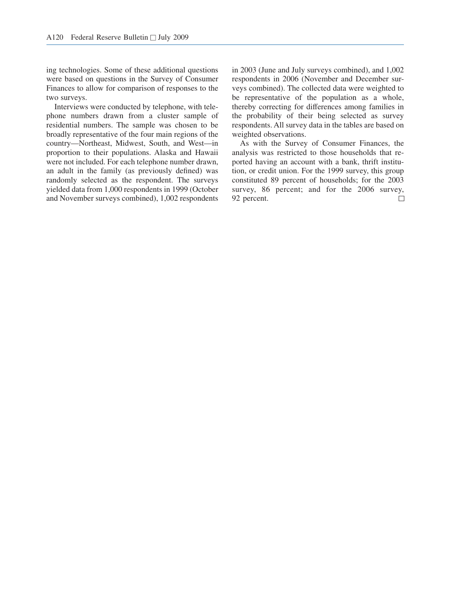ing technologies. Some of these additional questions were based on questions in the Survey of Consumer Finances to allow for comparison of responses to the two surveys.

Interviews were conducted by telephone, with telephone numbers drawn from a cluster sample of residential numbers. The sample was chosen to be broadly representative of the four main regions of the country—Northeast, Midwest, South, and West—in proportion to their populations. Alaska and Hawaii were not included. For each telephone number drawn, an adult in the family (as previously defined) was randomly selected as the respondent. The surveys yielded data from 1,000 respondents in 1999 (October and November surveys combined), 1,002 respondents

in 2003 (June and July surveys combined), and 1,002 respondents in 2006 (November and December surveys combined). The collected data were weighted to be representative of the population as a whole, thereby correcting for differences among families in the probability of their being selected as survey respondents. All survey data in the tables are based on weighted observations.

As with the Survey of Consumer Finances, the analysis was restricted to those households that reported having an account with a bank, thrift institution, or credit union. For the 1999 survey, this group constituted 89 percent of households; for the 2003 survey, 86 percent; and for the 2006 survey, 92 percent.  $\Box$